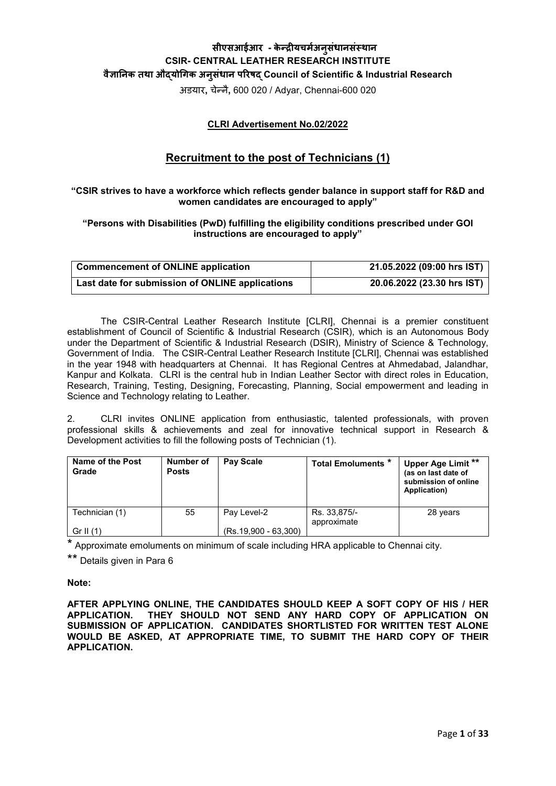# **सीएसआईआर - के न्द्र�यचमर्अनु संधानसंस्थान CSIR- CENTRAL LEATHER RESEARCH INSTITUTE वै�ा�नक तथा औद्यो�गक अनु संधान प�रषद् Council of Scientific & Industrial Research**

अडयार**,** चेन्नै**,** 600 020 / Adyar, Chennai-600 020

# **CLRI Advertisement No.02/2022**

# **Recruitment to the post of Technicians (1)**

### **"CSIR strives to have a workforce which reflects gender balance in support staff for R&D and women candidates are encouraged to apply"**

### **"Persons with Disabilities (PwD) fulfilling the eligibility conditions prescribed under GOI instructions are encouraged to apply"**

| <b>Commencement of ONLINE application</b>       | 21.05.2022 (09:00 hrs IST) |
|-------------------------------------------------|----------------------------|
| Last date for submission of ONLINE applications | 20.06.2022 (23.30 hrs IST) |

The CSIR-Central Leather Research Institute [CLRI], Chennai is a premier constituent establishment of Council of Scientific & Industrial Research (CSIR), which is an Autonomous Body under the Department of Scientific & Industrial Research (DSIR), Ministry of Science & Technology, Government of India. The CSIR-Central Leather Research Institute [CLRI], Chennai was established in the year 1948 with headquarters at Chennai. It has Regional Centres at Ahmedabad, Jalandhar, Kanpur and Kolkata. CLRI is the central hub in Indian Leather Sector with direct roles in Education, Research, Training, Testing, Designing, Forecasting, Planning, Social empowerment and leading in Science and Technology relating to Leather.

2. CLRI invites ONLINE application from enthusiastic, talented professionals, with proven professional skills & achievements and zeal for innovative technical support in Research & Development activities to fill the following posts of Technician (1).

| Name of the Post<br>Grade | Number of<br><b>Posts</b> | Pay Scale              | <b>Total Emoluments *</b>   | Upper Age Limit **<br>(as on last date of<br>submission of online<br>Application) |
|---------------------------|---------------------------|------------------------|-----------------------------|-----------------------------------------------------------------------------------|
| Technician (1)            | 55                        | Pay Level-2            | Rs. 33,875/-<br>approximate | 28 years                                                                          |
| Gr II $(1)$               |                           | $(Rs.19,900 - 63,300)$ |                             |                                                                                   |

\* Approximate emoluments on minimum of scale including HRA applicable to Chennai city.

\*\* Details given in Para 6

#### **Note:**

**AFTER APPLYING ONLINE, THE CANDIDATES SHOULD KEEP A SOFT COPY OF HIS / HER APPLICATION. THEY SHOULD NOT SEND ANY HARD COPY OF APPLICATION ON SUBMISSION OF APPLICATION. CANDIDATES SHORTLISTED FOR WRITTEN TEST ALONE WOULD BE ASKED, AT APPROPRIATE TIME, TO SUBMIT THE HARD COPY OF THEIR APPLICATION.**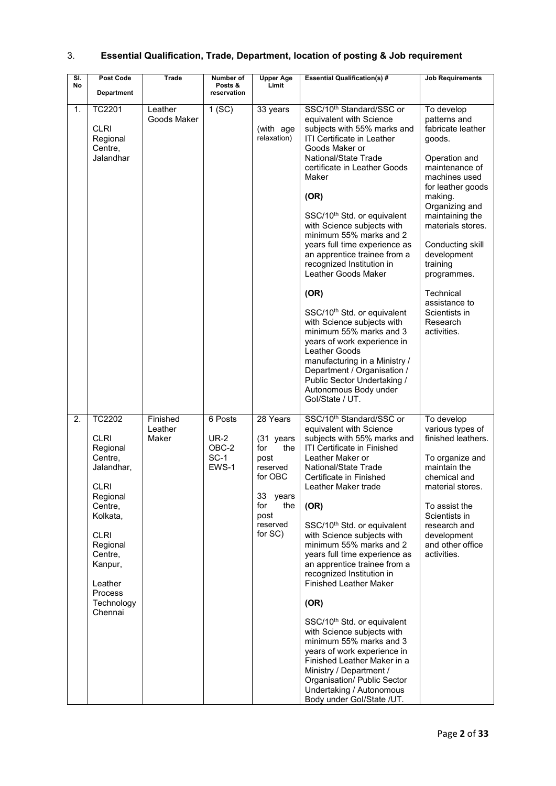| 3. | <b>Essential Qualification, Trade, Department, location of posting &amp; Job requirement</b> |  |  |  |  |  |
|----|----------------------------------------------------------------------------------------------|--|--|--|--|--|
|----|----------------------------------------------------------------------------------------------|--|--|--|--|--|

| $\overline{\mathsf{SI}}$ . | Post Code                                                                                                                                                                                                                  | Trade                        | Number of                                     | <b>Upper Age</b>                                                                                                               | <b>Essential Qualification(s) #</b>                                                                                                                                                                                                                                                                                                                                                                                                                                                                                                                                                                                                                                                                                                                                        | <b>Job Requirements</b>                                                                                                                                                                                                                                                                                                                         |
|----------------------------|----------------------------------------------------------------------------------------------------------------------------------------------------------------------------------------------------------------------------|------------------------------|-----------------------------------------------|--------------------------------------------------------------------------------------------------------------------------------|----------------------------------------------------------------------------------------------------------------------------------------------------------------------------------------------------------------------------------------------------------------------------------------------------------------------------------------------------------------------------------------------------------------------------------------------------------------------------------------------------------------------------------------------------------------------------------------------------------------------------------------------------------------------------------------------------------------------------------------------------------------------------|-------------------------------------------------------------------------------------------------------------------------------------------------------------------------------------------------------------------------------------------------------------------------------------------------------------------------------------------------|
| No                         | <b>Department</b>                                                                                                                                                                                                          |                              | Posts &<br>reservation                        | Limit                                                                                                                          |                                                                                                                                                                                                                                                                                                                                                                                                                                                                                                                                                                                                                                                                                                                                                                            |                                                                                                                                                                                                                                                                                                                                                 |
| 1.                         | <b>TC2201</b><br><b>CLRI</b><br>Regional<br>Centre,<br>Jalandhar                                                                                                                                                           | Leather<br>Goods Maker       | 1(SC)                                         | 33 years<br>(with age<br>relaxation)                                                                                           | SSC/10 <sup>th</sup> Standard/SSC or<br>equivalent with Science<br>subjects with 55% marks and<br><b>ITI Certificate in Leather</b><br>Goods Maker or<br>National/State Trade<br>certificate in Leather Goods<br>Maker<br>(OR)<br>SSC/10 <sup>th</sup> Std. or equivalent<br>with Science subjects with<br>minimum 55% marks and 2<br>years full time experience as<br>an apprentice trainee from a<br>recognized Institution in<br>Leather Goods Maker<br>(OR)<br>SSC/10 <sup>th</sup> Std. or equivalent<br>with Science subjects with<br>minimum 55% marks and 3<br>years of work experience in<br>Leather Goods<br>manufacturing in a Ministry /<br>Department / Organisation /<br>Public Sector Undertaking /<br>Autonomous Body under<br>Gol/State / UT.             | To develop<br>patterns and<br>fabricate leather<br>goods.<br>Operation and<br>maintenance of<br>machines used<br>for leather goods<br>making.<br>Organizing and<br>maintaining the<br>materials stores.<br>Conducting skill<br>development<br>training<br>programmes.<br>Technical<br>assistance to<br>Scientists in<br>Research<br>activities. |
| 2.                         | <b>TC2202</b><br><b>CLRI</b><br>Regional<br>Centre,<br>Jalandhar,<br><b>CLRI</b><br>Regional<br>Centre,<br>Kolkata.<br><b>CLRI</b><br>Regional<br>Centre,<br>Kanpur,<br>Leather<br><b>Process</b><br>Technology<br>Chennai | Finished<br>Leather<br>Maker | 6 Posts<br>$UR-2$<br>OBC-2<br>$SC-1$<br>EWS-1 | 28 Years<br>(31 years<br>for<br>the<br>post<br>reserved<br>for OBC<br>33<br>years<br>for<br>the<br>post<br>reserved<br>for SC) | SSC/10 <sup>th</sup> Standard/SSC or<br>equivalent with Science<br>subjects with 55% marks and<br><b>ITI Certificate in Finished</b><br>Leather Maker or<br>National/State Trade<br>Certificate in Finished<br>Leather Maker trade<br>(OR)<br>SSC/10 <sup>th</sup> Std. or equivalent<br>with Science subjects with<br>minimum 55% marks and 2<br>years full time experience as<br>an apprentice trainee from a<br>recognized Institution in<br><b>Finished Leather Maker</b><br>(OR)<br>SSC/10 <sup>th</sup> Std. or equivalent<br>with Science subjects with<br>minimum 55% marks and 3<br>years of work experience in<br>Finished Leather Maker in a<br>Ministry / Department /<br>Organisation/ Public Sector<br>Undertaking / Autonomous<br>Body under Gol/State /UT. | To develop<br>various types of<br>finished leathers.<br>To organize and<br>maintain the<br>chemical and<br>material stores.<br>To assist the<br>Scientists in<br>research and<br>development<br>and other office<br>activities.                                                                                                                 |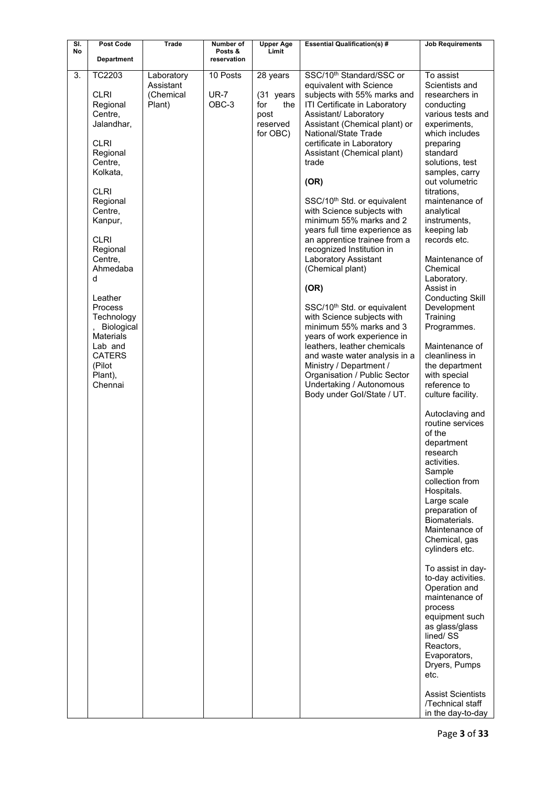| SI. | <b>Post Code</b>                                                                                                                                                                                                                                                                                                                                       | <b>Trade</b>                                   | Number of                        | <b>Upper Age</b>                                                    | <b>Essential Qualification(s) #</b>                                                                                                                                                                                                                                                                                                                                                                                                                                                                                                                                                                                                                                                                                                                                                                                                                                         | <b>Job Requirements</b>                                                                                                                                                                                                                                                                                                                                                                                                                                                                                                                                                                     |
|-----|--------------------------------------------------------------------------------------------------------------------------------------------------------------------------------------------------------------------------------------------------------------------------------------------------------------------------------------------------------|------------------------------------------------|----------------------------------|---------------------------------------------------------------------|-----------------------------------------------------------------------------------------------------------------------------------------------------------------------------------------------------------------------------------------------------------------------------------------------------------------------------------------------------------------------------------------------------------------------------------------------------------------------------------------------------------------------------------------------------------------------------------------------------------------------------------------------------------------------------------------------------------------------------------------------------------------------------------------------------------------------------------------------------------------------------|---------------------------------------------------------------------------------------------------------------------------------------------------------------------------------------------------------------------------------------------------------------------------------------------------------------------------------------------------------------------------------------------------------------------------------------------------------------------------------------------------------------------------------------------------------------------------------------------|
| No  | <b>Department</b>                                                                                                                                                                                                                                                                                                                                      |                                                | Posts &<br>reservation           | Limit                                                               |                                                                                                                                                                                                                                                                                                                                                                                                                                                                                                                                                                                                                                                                                                                                                                                                                                                                             |                                                                                                                                                                                                                                                                                                                                                                                                                                                                                                                                                                                             |
| 3.  | TC2203<br><b>CLRI</b><br>Regional<br>Centre,<br>Jalandhar,<br><b>CLRI</b><br>Regional<br>Centre,<br>Kolkata,<br><b>CLRI</b><br>Regional<br>Centre,<br>Kanpur,<br><b>CLRI</b><br>Regional<br>Centre,<br>Ahmedaba<br>d<br>Leather<br>Process<br>Technology<br>Biological<br><b>Materials</b><br>Lab and<br><b>CATERS</b><br>(Pilot<br>Plant),<br>Chennai | Laboratory<br>Assistant<br>(Chemical<br>Plant) | 10 Posts<br><b>UR-7</b><br>OBC-3 | 28 years<br>(31 years<br>for<br>the<br>post<br>reserved<br>for OBC) | SSC/10 <sup>th</sup> Standard/SSC or<br>equivalent with Science<br>subjects with 55% marks and<br>ITI Certificate in Laboratory<br>Assistant/ Laboratory<br>Assistant (Chemical plant) or<br>National/State Trade<br>certificate in Laboratory<br>Assistant (Chemical plant)<br>trade<br>(OR)<br>SSC/10 <sup>th</sup> Std. or equivalent<br>with Science subjects with<br>minimum 55% marks and 2<br>years full time experience as<br>an apprentice trainee from a<br>recognized Institution in<br>Laboratory Assistant<br>(Chemical plant)<br>(OR)<br>SSC/10 <sup>th</sup> Std. or equivalent<br>with Science subjects with<br>minimum 55% marks and 3<br>years of work experience in<br>leathers, leather chemicals<br>and waste water analysis in a<br>Ministry / Department /<br>Organisation / Public Sector<br>Undertaking / Autonomous<br>Body under Gol/State / UT. | To assist<br>Scientists and<br>researchers in<br>conducting<br>various tests and<br>experiments,<br>which includes<br>preparing<br>standard<br>solutions, test<br>samples, carry<br>out volumetric<br>titrations.<br>maintenance of<br>analytical<br>instruments,<br>keeping lab<br>records etc.<br>Maintenance of<br>Chemical<br>Laboratory.<br>Assist in<br><b>Conducting Skill</b><br>Development<br>Training<br>Programmes.<br>Maintenance of<br>cleanliness in<br>the department<br>with special<br>reference to<br>culture facility.<br>Autoclaving and<br>routine services<br>of the |
|     |                                                                                                                                                                                                                                                                                                                                                        |                                                |                                  |                                                                     |                                                                                                                                                                                                                                                                                                                                                                                                                                                                                                                                                                                                                                                                                                                                                                                                                                                                             | department<br>research<br>activities.<br>Sample<br>collection from<br>Hospitals.<br>Large scale<br>preparation of<br>Biomaterials.<br>Maintenance of<br>Chemical, gas<br>cylinders etc.<br>To assist in day-<br>to-day activities.<br>Operation and<br>maintenance of<br>process<br>equipment such<br>as glass/glass<br>lined/SS<br>Reactors,<br>Evaporators,<br>Dryers, Pumps<br>etc.<br><b>Assist Scientists</b><br>/Technical staff<br>in the day-to-day                                                                                                                                 |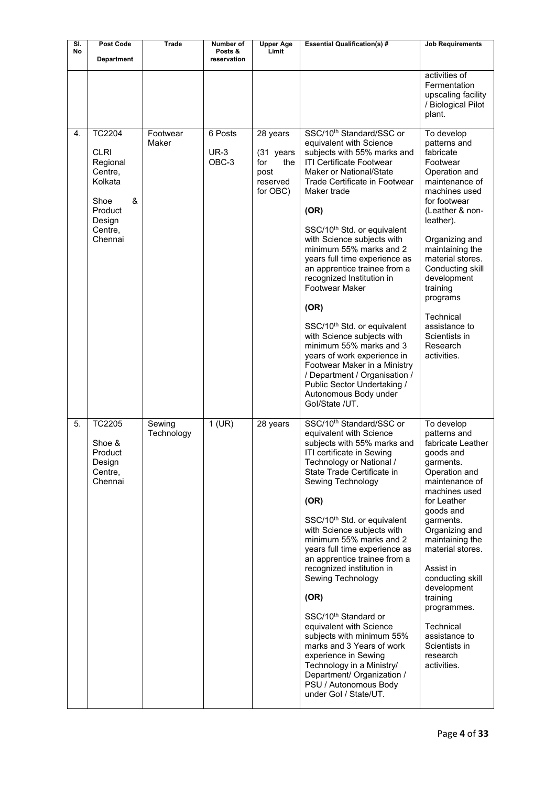| SI. | <b>Post Code</b>                                                                                                       | <b>Trade</b>         | Number of                       | <b>Upper Age</b>                                                    | <b>Essential Qualification(s) #</b>                                                                                                                                                                                                                                                                                                                                                                                                                                                                                                                                                                                                                                                                                                          | <b>Job Requirements</b>                                                                                                                                                                                                                                                                                                                                                              |
|-----|------------------------------------------------------------------------------------------------------------------------|----------------------|---------------------------------|---------------------------------------------------------------------|----------------------------------------------------------------------------------------------------------------------------------------------------------------------------------------------------------------------------------------------------------------------------------------------------------------------------------------------------------------------------------------------------------------------------------------------------------------------------------------------------------------------------------------------------------------------------------------------------------------------------------------------------------------------------------------------------------------------------------------------|--------------------------------------------------------------------------------------------------------------------------------------------------------------------------------------------------------------------------------------------------------------------------------------------------------------------------------------------------------------------------------------|
| No  | <b>Department</b>                                                                                                      |                      | Posts &<br>reservation          | Limit                                                               |                                                                                                                                                                                                                                                                                                                                                                                                                                                                                                                                                                                                                                                                                                                                              |                                                                                                                                                                                                                                                                                                                                                                                      |
|     |                                                                                                                        |                      |                                 |                                                                     |                                                                                                                                                                                                                                                                                                                                                                                                                                                                                                                                                                                                                                                                                                                                              | activities of<br>Fermentation<br>upscaling facility<br>/ Biological Pilot<br>plant.                                                                                                                                                                                                                                                                                                  |
| 4.  | <b>TC2204</b><br><b>CLRI</b><br>Regional<br>Centre,<br>Kolkata<br>&<br>Shoe<br>Product<br>Design<br>Centre,<br>Chennai | Footwear<br>Maker    | 6 Posts<br><b>UR-3</b><br>OBC-3 | 28 years<br>(31 years<br>for<br>the<br>post<br>reserved<br>for OBC) | SSC/10 <sup>th</sup> Standard/SSC or<br>equivalent with Science<br>subjects with 55% marks and<br><b>ITI Certificate Footwear</b><br><b>Maker or National/State</b><br>Trade Certificate in Footwear<br>Maker trade<br>(OR)<br>SSC/10 <sup>th</sup> Std. or equivalent<br>with Science subjects with<br>minimum 55% marks and 2<br>years full time experience as<br>an apprentice trainee from a<br>recognized Institution in<br><b>Footwear Maker</b><br>(OR)<br>SSC/10 <sup>th</sup> Std. or equivalent<br>with Science subjects with<br>minimum 55% marks and 3<br>years of work experience in<br>Footwear Maker in a Ministry<br>/ Department / Organisation /<br>Public Sector Undertaking /<br>Autonomous Body under<br>Gol/State /UT. | To develop<br>patterns and<br>fabricate<br>Footwear<br>Operation and<br>maintenance of<br>machines used<br>for footwear<br>(Leather & non-<br>leather).<br>Organizing and<br>maintaining the<br>material stores.<br>Conducting skill<br>development<br>training<br>programs<br>Technical<br>assistance to<br>Scientists in<br>Research<br>activities.                                |
| 5.  | <b>TC2205</b><br>Shoe &<br>Product<br>Design<br>Centre,<br>Chennai                                                     | Sewing<br>Technology | $1$ (UR)                        | 28 years                                                            | SSC/10 <sup>th</sup> Standard/SSC or<br>equivalent with Science<br>subjects with 55% marks and<br>ITI certificate in Sewing<br>Technology or National /<br>State Trade Certificate in<br>Sewing Technology<br>(OR)<br>SSC/10 <sup>th</sup> Std. or equivalent<br>with Science subjects with<br>minimum 55% marks and 2<br>years full time experience as<br>an apprentice trainee from a<br>recognized institution in<br>Sewing Technology<br>(OR)<br>SSC/10 <sup>th</sup> Standard or<br>equivalent with Science<br>subjects with minimum 55%<br>marks and 3 Years of work<br>experience in Sewing<br>Technology in a Ministry/<br>Department/ Organization /<br>PSU / Autonomous Body<br>under Gol / State/UT.                              | To develop<br>patterns and<br>fabricate Leather<br>qoods and<br>garments.<br>Operation and<br>maintenance of<br>machines used<br>for Leather<br>goods and<br>garments.<br>Organizing and<br>maintaining the<br>material stores.<br>Assist in<br>conducting skill<br>development<br>training<br>programmes.<br>Technical<br>assistance to<br>Scientists in<br>research<br>activities. |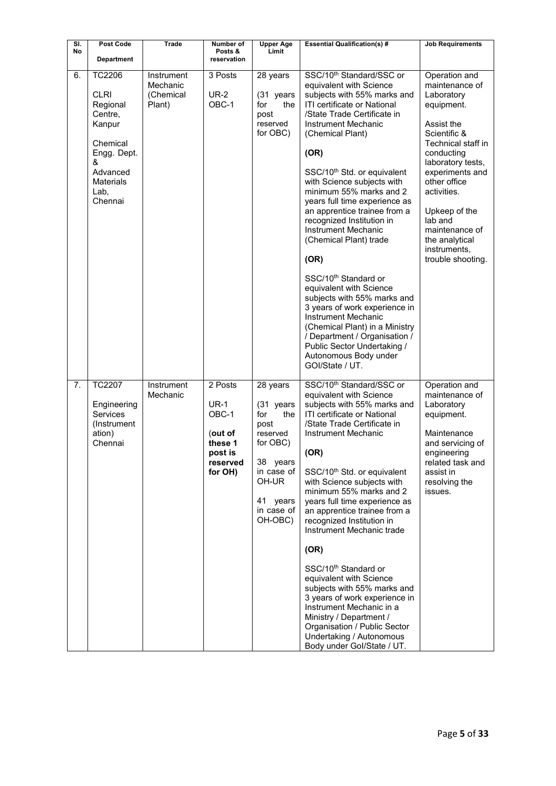| SI.<br>No | Post Code<br><b>Department</b>                                                                                                                   | <b>Trade</b>                                  | Number of<br>Posts &<br>reservation                                                     | <b>Upper Age</b><br>Limit                                                                                                                   | <b>Essential Qualification(s) #</b>                                                                                                                                                                                                                                                                                                                                                                                                                                                                                                                                                                                                                                                                                                                                                          | <b>Job Requirements</b>                                                                                                                                                                                                                                                                                   |
|-----------|--------------------------------------------------------------------------------------------------------------------------------------------------|-----------------------------------------------|-----------------------------------------------------------------------------------------|---------------------------------------------------------------------------------------------------------------------------------------------|----------------------------------------------------------------------------------------------------------------------------------------------------------------------------------------------------------------------------------------------------------------------------------------------------------------------------------------------------------------------------------------------------------------------------------------------------------------------------------------------------------------------------------------------------------------------------------------------------------------------------------------------------------------------------------------------------------------------------------------------------------------------------------------------|-----------------------------------------------------------------------------------------------------------------------------------------------------------------------------------------------------------------------------------------------------------------------------------------------------------|
| 6.        | <b>TC2206</b><br><b>CLRI</b><br>Regional<br>Centre,<br>Kanpur<br>Chemical<br>Engg. Dept.<br>&<br>Advanced<br><b>Materials</b><br>Lab,<br>Chennai | Instrument<br>Mechanic<br>(Chemical<br>Plant) | 3 Posts<br><b>UR-2</b><br>OBC-1                                                         | 28 years<br>(31 years<br>the<br>for<br>post<br>reserved<br>for OBC)                                                                         | SSC/10 <sup>th</sup> Standard/SSC or<br>equivalent with Science<br>subjects with 55% marks and<br><b>ITI certificate or National</b><br>/State Trade Certificate in<br><b>Instrument Mechanic</b><br>(Chemical Plant)<br>(OR)<br>SSC/10 <sup>th</sup> Std. or equivalent<br>with Science subjects with<br>minimum 55% marks and 2<br>years full time experience as<br>an apprentice trainee from a<br>recognized Institution in<br>Instrument Mechanic<br>(Chemical Plant) trade<br>(OR)<br>SSC/10 <sup>th</sup> Standard or<br>equivalent with Science<br>subjects with 55% marks and<br>3 years of work experience in<br>Instrument Mechanic<br>(Chemical Plant) in a Ministry<br>/ Department / Organisation /<br>Public Sector Undertaking /<br>Autonomous Body under<br>GOI/State / UT. | Operation and<br>maintenance of<br>Laboratory<br>equipment.<br>Assist the<br>Scientific &<br>Technical staff in<br>conducting<br>laboratory tests,<br>experiments and<br>other office<br>activities.<br>Upkeep of the<br>lab and<br>maintenance of<br>the analytical<br>instruments,<br>trouble shooting. |
| 7.        | <b>TC2207</b><br>Engineering<br><b>Services</b><br>(Instrument<br>ation)<br>Chennai                                                              | Instrument<br>Mechanic                        | 2 Posts<br><b>UR-1</b><br>OBC-1<br>(out of<br>these 1<br>post is<br>reserved<br>for OH) | 28 years<br>(31 years<br>for<br>the<br>post<br>reserved<br>for OBC)<br>38 years<br>in case of<br>OH-UR<br>41 years<br>in case of<br>OH-OBC) | SSC/10 <sup>th</sup> Standard/SSC or<br>equivalent with Science<br>subjects with 55% marks and<br><b>ITI certificate or National</b><br>/State Trade Certificate in<br>Instrument Mechanic<br>(OR)<br>SSC/10 <sup>th</sup> Std. or equivalent<br>with Science subjects with<br>minimum 55% marks and 2<br>years full time experience as<br>an apprentice trainee from a<br>recognized Institution in<br>Instrument Mechanic trade<br>(OR)<br>SSC/10 <sup>th</sup> Standard or<br>equivalent with Science<br>subjects with 55% marks and<br>3 years of work experience in<br>Instrument Mechanic in a<br>Ministry / Department /<br>Organisation / Public Sector<br>Undertaking / Autonomous<br>Body under Gol/State / UT.                                                                    | Operation and<br>maintenance of<br>Laboratory<br>equipment.<br>Maintenance<br>and servicing of<br>engineering<br>related task and<br>assist in<br>resolving the<br>issues.                                                                                                                                |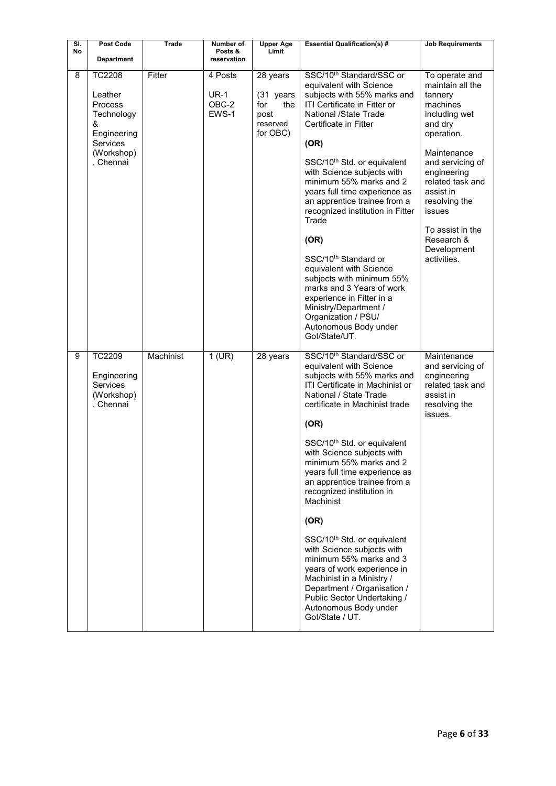| SI.<br>No | Post Code<br><b>Department</b>                                                                                      | <b>Trade</b> | Number of<br>Posts &<br>reservation      | <b>Upper Age</b><br>Limit                                           | <b>Essential Qualification(s) #</b>                                                                                                                                                                                                                                                                                                                                                                                                                                                                                                                                                                                                                                                                    | <b>Job Requirements</b>                                                                                                                                                                                                                                                           |
|-----------|---------------------------------------------------------------------------------------------------------------------|--------------|------------------------------------------|---------------------------------------------------------------------|--------------------------------------------------------------------------------------------------------------------------------------------------------------------------------------------------------------------------------------------------------------------------------------------------------------------------------------------------------------------------------------------------------------------------------------------------------------------------------------------------------------------------------------------------------------------------------------------------------------------------------------------------------------------------------------------------------|-----------------------------------------------------------------------------------------------------------------------------------------------------------------------------------------------------------------------------------------------------------------------------------|
| 8         | <b>TC2208</b><br>Leather<br><b>Process</b><br>Technology<br>&<br>Engineering<br>Services<br>(Workshop)<br>, Chennai | Fitter       | 4 Posts<br><b>UR-1</b><br>OBC-2<br>EWS-1 | 28 years<br>(31 years<br>the<br>for<br>post<br>reserved<br>for OBC) | SSC/10 <sup>th</sup> Standard/SSC or<br>equivalent with Science<br>subjects with 55% marks and<br>ITI Certificate in Fitter or<br>National /State Trade<br>Certificate in Fitter<br>(OR)<br>SSC/10 <sup>th</sup> Std. or equivalent<br>with Science subjects with<br>minimum 55% marks and 2<br>years full time experience as<br>an apprentice trainee from a<br>recognized institution in Fitter<br>Trade<br>(OR)<br>SSC/10 <sup>th</sup> Standard or<br>equivalent with Science<br>subjects with minimum 55%<br>marks and 3 Years of work<br>experience in Fitter in a<br>Ministry/Department /<br>Organization / PSU/<br>Autonomous Body under<br>Gol/State/UT.                                     | To operate and<br>maintain all the<br>tannery<br>machines<br>including wet<br>and dry<br>operation.<br>Maintenance<br>and servicing of<br>engineering<br>related task and<br>assist in<br>resolving the<br>issues<br>To assist in the<br>Research &<br>Development<br>activities. |
| 9         | <b>TC2209</b><br>Engineering<br><b>Services</b><br>(Workshop)<br>, Chennai                                          | Machinist    | $1$ (UR)                                 | 28 years                                                            | SSC/10 <sup>th</sup> Standard/SSC or<br>equivalent with Science<br>subjects with 55% marks and<br>ITI Certificate in Machinist or<br>National / State Trade<br>certificate in Machinist trade<br>(OR)<br>SSC/10 <sup>th</sup> Std. or equivalent<br>with Science subjects with<br>minimum 55% marks and 2<br>years full time experience as<br>an apprentice trainee from a<br>recognized institution in<br>Machinist<br>(OR)<br>SSC/10 <sup>th</sup> Std. or equivalent<br>with Science subjects with<br>minimum 55% marks and 3<br>years of work experience in<br>Machinist in a Ministry /<br>Department / Organisation /<br>Public Sector Undertaking /<br>Autonomous Body under<br>Gol/State / UT. | Maintenance<br>and servicing of<br>engineering<br>related task and<br>assist in<br>resolving the<br>issues.                                                                                                                                                                       |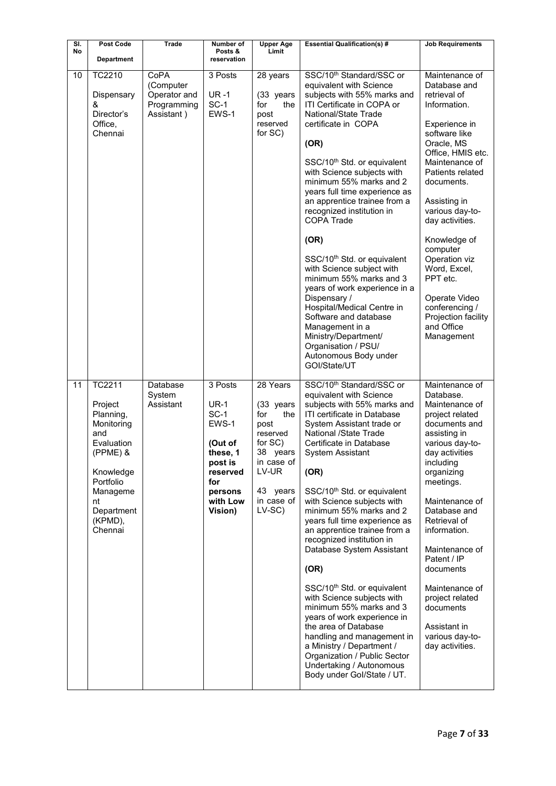| SI.<br>No | Post Code<br><b>Department</b>                                                                                                                                       | Trade                                                          | Number of<br>Posts &<br>reservation                                                                                         | <b>Upper Age</b><br>Limit                                                                                                                 | <b>Essential Qualification(s) #</b>                                                                                                                                                                                                                                                                                                                                                                                                                                                                                                                                                                                                                                                                                                                                                               | <b>Job Requirements</b>                                                                                                                                                                                                                                                                                                                                                                                      |
|-----------|----------------------------------------------------------------------------------------------------------------------------------------------------------------------|----------------------------------------------------------------|-----------------------------------------------------------------------------------------------------------------------------|-------------------------------------------------------------------------------------------------------------------------------------------|---------------------------------------------------------------------------------------------------------------------------------------------------------------------------------------------------------------------------------------------------------------------------------------------------------------------------------------------------------------------------------------------------------------------------------------------------------------------------------------------------------------------------------------------------------------------------------------------------------------------------------------------------------------------------------------------------------------------------------------------------------------------------------------------------|--------------------------------------------------------------------------------------------------------------------------------------------------------------------------------------------------------------------------------------------------------------------------------------------------------------------------------------------------------------------------------------------------------------|
| 10        | TC2210<br>Dispensary<br>&<br>Director's<br>Office,<br>Chennai                                                                                                        | CoPA<br>(Computer<br>Operator and<br>Programming<br>Assistant) | 3 Posts<br>$UR - 1$<br>SC-1<br>EWS-1                                                                                        | 28 years<br>(33 years<br>for<br>the<br>post<br>reserved<br>for SC)                                                                        | SSC/10 <sup>th</sup> Standard/SSC or<br>equivalent with Science<br>subjects with 55% marks and<br>ITI Certificate in COPA or<br>National/State Trade<br>certificate in COPA<br>(OR)<br>SSC/10 <sup>th</sup> Std. or equivalent<br>with Science subjects with<br>minimum 55% marks and 2<br>years full time experience as<br>an apprentice trainee from a<br>recognized institution in<br><b>COPA Trade</b><br>(OR)<br>SSC/10 <sup>th</sup> Std. or equivalent<br>with Science subject with<br>minimum 55% marks and 3<br>years of work experience in a<br>Dispensary /<br>Hospital/Medical Centre in<br>Software and database<br>Management in a<br>Ministry/Department/<br>Organisation / PSU/<br>Autonomous Body under<br>GOI/State/UT                                                          | Maintenance of<br>Database and<br>retrieval of<br>Information.<br>Experience in<br>software like<br>Oracle, MS<br>Office, HMIS etc.<br>Maintenance of<br>Patients related<br>documents.<br>Assisting in<br>various day-to-<br>day activities.<br>Knowledge of<br>computer<br>Operation viz<br>Word, Excel,<br>PPT etc.<br>Operate Video<br>conferencing /<br>Projection facility<br>and Office<br>Management |
| 11        | <b>TC2211</b><br>Project<br>Planning,<br>Monitoring<br>and<br>Evaluation<br>(PPME) &<br>Knowledge<br>Portfolio<br>Manageme<br>nt<br>Department<br>(KPMD),<br>Chennai | Database<br>System<br>Assistant                                | 3 Posts<br>$UR-1$<br>$SC-1$<br>EWS-1<br>(Out of<br>these. 1<br>post is<br>reserved<br>for<br>persons<br>with Low<br>Vision) | 28 Years<br>(33 years<br>for<br>the<br>post<br>reserved<br>for SC)<br>38 years<br>in case of<br>LV-UR<br>43 years<br>in case of<br>LV-SC) | SSC/10 <sup>th</sup> Standard/SSC or<br>equivalent with Science<br>subjects with 55% marks and<br>ITI certificate in Database<br>System Assistant trade or<br>National /State Trade<br>Certificate in Database<br>System Assistant<br>(OR)<br>SSC/10 <sup>th</sup> Std. or equivalent<br>with Science subjects with<br>minimum 55% marks and 2<br>years full time experience as<br>an apprentice trainee from a<br>recognized institution in<br>Database System Assistant<br>(OR)<br>SSC/10 <sup>th</sup> Std. or equivalent<br>with Science subjects with<br>minimum 55% marks and 3<br>years of work experience in<br>the area of Database<br>handling and management in<br>a Ministry / Department /<br>Organization / Public Sector<br>Undertaking / Autonomous<br>Body under Gol/State / UT. | Maintenance of<br>Database.<br>Maintenance of<br>project related<br>documents and<br>assisting in<br>various day-to-<br>day activities<br>including<br>organizing<br>meetings.<br>Maintenance of<br>Database and<br>Retrieval of<br>information.<br>Maintenance of<br>Patent / IP<br>documents<br>Maintenance of<br>project related<br>documents<br>Assistant in<br>various day-to-<br>day activities.       |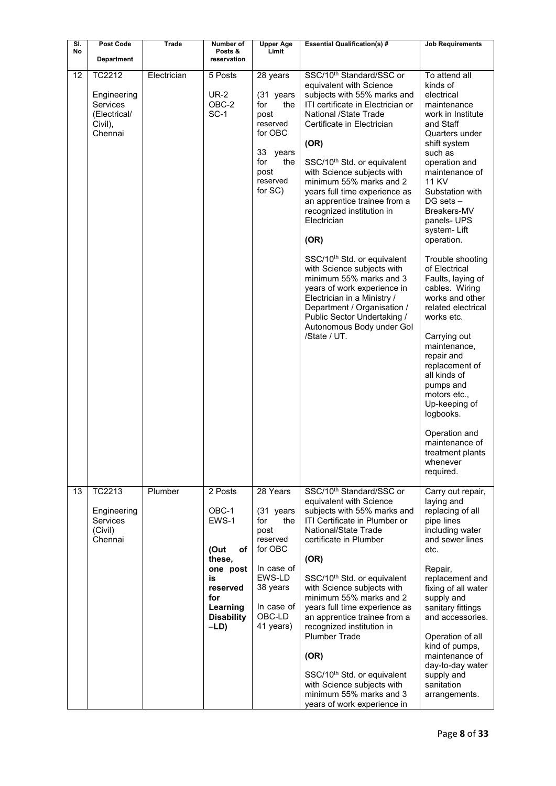| SI. | Post Code                                                                      | <b>Trade</b> | Number of                                                                                                                       | <b>Upper Age</b>                                                                                                                            | <b>Essential Qualification(s) #</b>                                                                                                                                                                                                                                                                                                                                                                                                                                                                                                                                                                                                                                                                      | <b>Job Requirements</b>                                                                                                                                                                                                                                                                                                                                                                                                                                                                                                                                                                                                                          |
|-----|--------------------------------------------------------------------------------|--------------|---------------------------------------------------------------------------------------------------------------------------------|---------------------------------------------------------------------------------------------------------------------------------------------|----------------------------------------------------------------------------------------------------------------------------------------------------------------------------------------------------------------------------------------------------------------------------------------------------------------------------------------------------------------------------------------------------------------------------------------------------------------------------------------------------------------------------------------------------------------------------------------------------------------------------------------------------------------------------------------------------------|--------------------------------------------------------------------------------------------------------------------------------------------------------------------------------------------------------------------------------------------------------------------------------------------------------------------------------------------------------------------------------------------------------------------------------------------------------------------------------------------------------------------------------------------------------------------------------------------------------------------------------------------------|
| No  | <b>Department</b>                                                              |              | Posts &<br>reservation                                                                                                          | Limit                                                                                                                                       |                                                                                                                                                                                                                                                                                                                                                                                                                                                                                                                                                                                                                                                                                                          |                                                                                                                                                                                                                                                                                                                                                                                                                                                                                                                                                                                                                                                  |
| 12  | TC2212<br>Engineering<br><b>Services</b><br>(Electrical/<br>Civil),<br>Chennai | Electrician  | 5 Posts<br><b>UR-2</b><br>OBC-2<br>$SC-1$                                                                                       | 28 years<br>(31 years<br>for<br>the<br>post<br>reserved<br>for OBC<br>33 years<br>for<br>the<br>post<br>reserved<br>for SC)                 | SSC/10 <sup>th</sup> Standard/SSC or<br>equivalent with Science<br>subjects with 55% marks and<br>ITI certificate in Electrician or<br>National /State Trade<br>Certificate in Electrician<br>(OR)<br>SSC/10 <sup>th</sup> Std. or equivalent<br>with Science subjects with<br>minimum 55% marks and 2<br>years full time experience as<br>an apprentice trainee from a<br>recognized institution in<br>Electrician<br>(OR)<br>SSC/10 <sup>th</sup> Std. or equivalent<br>with Science subjects with<br>minimum 55% marks and 3<br>years of work experience in<br>Electrician in a Ministry /<br>Department / Organisation /<br>Public Sector Undertaking /<br>Autonomous Body under Gol<br>/State / UT. | To attend all<br>kinds of<br>electrical<br>maintenance<br>work in Institute<br>and Staff<br>Quarters under<br>shift system<br>such as<br>operation and<br>maintenance of<br><b>11 KV</b><br>Substation with<br>DG sets -<br>Breakers-MV<br>panels-UPS<br>system-Lift<br>operation.<br>Trouble shooting<br>of Electrical<br>Faults, laying of<br>cables. Wiring<br>works and other<br>related electrical<br>works etc.<br>Carrying out<br>maintenance,<br>repair and<br>replacement of<br>all kinds of<br>pumps and<br>motors etc.,<br>Up-keeping of<br>logbooks.<br>Operation and<br>maintenance of<br>treatment plants<br>whenever<br>required. |
| 13  | TC2213<br>Engineering<br>Services<br>(Civil)<br>Chennai                        | Plumber      | 2 Posts<br>OBC-1<br>EWS-1<br>(Out<br>оf<br>these,<br>one post<br>is<br>reserved<br>for<br>Learning<br><b>Disability</b><br>-LD) | 28 Years<br>(31 years<br>for<br>the<br>post<br>reserved<br>for OBC<br>In case of<br>EWS-LD<br>38 years<br>In case of<br>OBC-LD<br>41 years) | SSC/10 <sup>th</sup> Standard/SSC or<br>equivalent with Science<br>subjects with 55% marks and<br>ITI Certificate in Plumber or<br>National/State Trade<br>certificate in Plumber<br>(OR)<br>SSC/10 <sup>th</sup> Std. or equivalent<br>with Science subjects with<br>minimum 55% marks and 2<br>years full time experience as<br>an apprentice trainee from a<br>recognized institution in<br><b>Plumber Trade</b><br>(OR)<br>SSC/10 <sup>th</sup> Std. or equivalent<br>with Science subjects with<br>minimum 55% marks and 3<br>years of work experience in                                                                                                                                           | Carry out repair,<br>laying and<br>replacing of all<br>pipe lines<br>including water<br>and sewer lines<br>etc.<br>Repair,<br>replacement and<br>fixing of all water<br>supply and<br>sanitary fittings<br>and accessories.<br>Operation of all<br>kind of pumps,<br>maintenance of<br>day-to-day water<br>supply and<br>sanitation<br>arrangements.                                                                                                                                                                                                                                                                                             |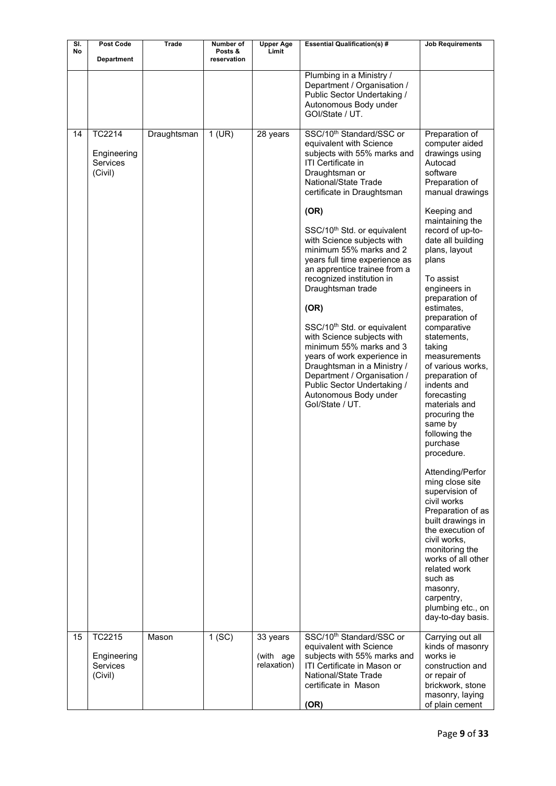| SI. | Post Code                                                  | <b>Trade</b> | Number of              | <b>Upper Age</b>                     | <b>Essential Qualification(s) #</b>                                                                                                                                                                                                                                                                                                                                                                                                                                                                                                                                                                                                                                                                                    | <b>Job Requirements</b>                                                                                                                                                                                                                                                                                                                                                                                                                                                                                                                                                                                                                                                                                                                                                                                              |
|-----|------------------------------------------------------------|--------------|------------------------|--------------------------------------|------------------------------------------------------------------------------------------------------------------------------------------------------------------------------------------------------------------------------------------------------------------------------------------------------------------------------------------------------------------------------------------------------------------------------------------------------------------------------------------------------------------------------------------------------------------------------------------------------------------------------------------------------------------------------------------------------------------------|----------------------------------------------------------------------------------------------------------------------------------------------------------------------------------------------------------------------------------------------------------------------------------------------------------------------------------------------------------------------------------------------------------------------------------------------------------------------------------------------------------------------------------------------------------------------------------------------------------------------------------------------------------------------------------------------------------------------------------------------------------------------------------------------------------------------|
| No  | <b>Department</b>                                          |              | Posts &<br>reservation | Limit                                |                                                                                                                                                                                                                                                                                                                                                                                                                                                                                                                                                                                                                                                                                                                        |                                                                                                                                                                                                                                                                                                                                                                                                                                                                                                                                                                                                                                                                                                                                                                                                                      |
|     |                                                            |              |                        |                                      | Plumbing in a Ministry /<br>Department / Organisation /<br>Public Sector Undertaking /<br>Autonomous Body under<br>GOI/State / UT.                                                                                                                                                                                                                                                                                                                                                                                                                                                                                                                                                                                     |                                                                                                                                                                                                                                                                                                                                                                                                                                                                                                                                                                                                                                                                                                                                                                                                                      |
| 14  | <b>TC2214</b><br>Engineering<br><b>Services</b><br>(Civil) | Draughtsman  | $1$ (UR)               | 28 years                             | SSC/10 <sup>th</sup> Standard/SSC or<br>equivalent with Science<br>subjects with 55% marks and<br><b>ITI Certificate in</b><br>Draughtsman or<br>National/State Trade<br>certificate in Draughtsman<br>(OR)<br>SSC/10 <sup>th</sup> Std. or equivalent<br>with Science subjects with<br>minimum 55% marks and 2<br>years full time experience as<br>an apprentice trainee from a<br>recognized institution in<br>Draughtsman trade<br>(OR)<br>SSC/10 <sup>th</sup> Std. or equivalent<br>with Science subjects with<br>minimum 55% marks and 3<br>years of work experience in<br>Draughtsman in a Ministry /<br>Department / Organisation /<br>Public Sector Undertaking /<br>Autonomous Body under<br>Gol/State / UT. | Preparation of<br>computer aided<br>drawings using<br>Autocad<br>software<br>Preparation of<br>manual drawings<br>Keeping and<br>maintaining the<br>record of up-to-<br>date all building<br>plans, layout<br>plans<br>To assist<br>engineers in<br>preparation of<br>estimates,<br>preparation of<br>comparative<br>statements,<br>taking<br>measurements<br>of various works.<br>preparation of<br>indents and<br>forecasting<br>materials and<br>procuring the<br>same by<br>following the<br>purchase<br>procedure.<br>Attending/Perfor<br>ming close site<br>supervision of<br>civil works<br>Preparation of as<br>built drawings in<br>the execution of<br>civil works,<br>monitoring the<br>works of all other<br>related work<br>such as<br>masonry,<br>carpentry,<br>plumbing etc., on<br>day-to-day basis. |
| 15  | TC2215<br>Engineering<br><b>Services</b><br>(Civil)        | Mason        | 1(SC)                  | 33 years<br>(with age<br>relaxation) | SSC/10 <sup>th</sup> Standard/SSC or<br>equivalent with Science<br>subjects with 55% marks and<br>ITI Certificate in Mason or<br>National/State Trade<br>certificate in Mason<br>(OR)                                                                                                                                                                                                                                                                                                                                                                                                                                                                                                                                  | Carrying out all<br>kinds of masonry<br>works ie<br>construction and<br>or repair of<br>brickwork, stone<br>masonry, laying<br>of plain cement                                                                                                                                                                                                                                                                                                                                                                                                                                                                                                                                                                                                                                                                       |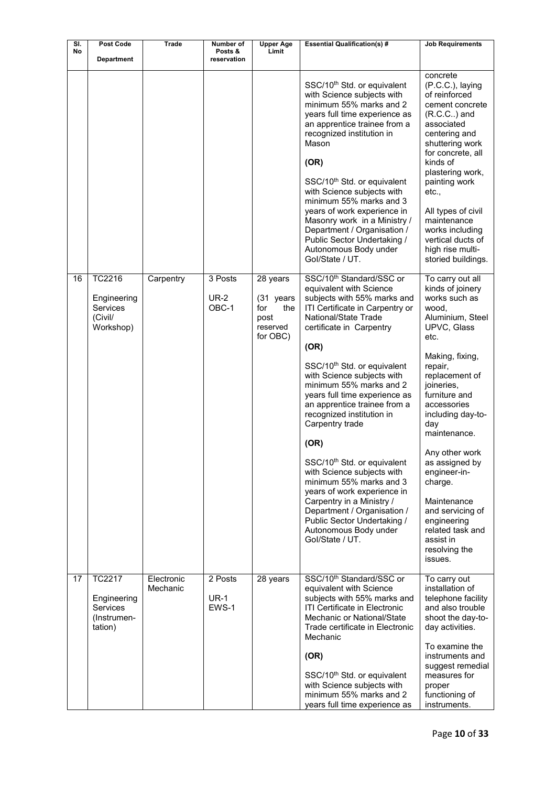| SI. | Post Code                                                   | <b>Trade</b>           | Number of                       | <b>Upper Age</b>                                        | <b>Essential Qualification(s) #</b>                                                                                                                                                                                                                                                                                                                                                                                                                                                          | <b>Job Requirements</b>                                                                                                                                                                                                                                                                                                                    |
|-----|-------------------------------------------------------------|------------------------|---------------------------------|---------------------------------------------------------|----------------------------------------------------------------------------------------------------------------------------------------------------------------------------------------------------------------------------------------------------------------------------------------------------------------------------------------------------------------------------------------------------------------------------------------------------------------------------------------------|--------------------------------------------------------------------------------------------------------------------------------------------------------------------------------------------------------------------------------------------------------------------------------------------------------------------------------------------|
| No  | <b>Department</b>                                           |                        | Posts &<br>reservation          | Limit                                                   |                                                                                                                                                                                                                                                                                                                                                                                                                                                                                              |                                                                                                                                                                                                                                                                                                                                            |
|     |                                                             |                        |                                 |                                                         | SSC/10 <sup>th</sup> Std. or equivalent<br>with Science subjects with<br>minimum 55% marks and 2<br>years full time experience as<br>an apprentice trainee from a<br>recognized institution in<br>Mason<br>(OR)<br>SSC/10 <sup>th</sup> Std. or equivalent<br>with Science subjects with<br>minimum 55% marks and 3<br>years of work experience in<br>Masonry work in a Ministry /<br>Department / Organisation /<br>Public Sector Undertaking /<br>Autonomous Body under<br>Gol/State / UT. | concrete<br>(P.C.C.), laying<br>of reinforced<br>cement concrete<br>$(R.C.C.)$ and<br>associated<br>centering and<br>shuttering work<br>for concrete, all<br>kinds of<br>plastering work,<br>painting work<br>etc.,<br>All types of civil<br>maintenance<br>works including<br>vertical ducts of<br>high rise multi-<br>storied buildings. |
| 16  | TC2216                                                      | Carpentry              | 3 Posts                         | 28 years                                                | SSC/10 <sup>th</sup> Standard/SSC or<br>equivalent with Science                                                                                                                                                                                                                                                                                                                                                                                                                              | To carry out all<br>kinds of joinery                                                                                                                                                                                                                                                                                                       |
|     | Engineering<br><b>Services</b><br>(Civil/<br>Workshop)      |                        | <b>UR-2</b><br>OBC-1            | (31 years<br>for<br>the<br>post<br>reserved<br>for OBC) | subjects with 55% marks and<br>ITI Certificate in Carpentry or<br>National/State Trade<br>certificate in Carpentry<br>(OR)                                                                                                                                                                                                                                                                                                                                                                   | works such as<br>wood,<br>Aluminium, Steel<br>UPVC, Glass<br>etc.                                                                                                                                                                                                                                                                          |
|     |                                                             |                        |                                 |                                                         | SSC/10 <sup>th</sup> Std. or equivalent<br>with Science subjects with<br>minimum 55% marks and 2<br>years full time experience as<br>an apprentice trainee from a<br>recognized institution in<br>Carpentry trade<br>(OR)                                                                                                                                                                                                                                                                    | Making, fixing,<br>repair,<br>replacement of<br>joineries,<br>furniture and<br>accessories<br>including day-to-<br>day<br>maintenance.                                                                                                                                                                                                     |
|     |                                                             |                        |                                 |                                                         | SSC/10 <sup>th</sup> Std. or equivalent<br>with Science subjects with<br>minimum 55% marks and 3<br>years of work experience in<br>Carpentry in a Ministry /<br>Department / Organisation /<br>Public Sector Undertaking /<br>Autonomous Body under<br>Gol/State / UT.                                                                                                                                                                                                                       | Any other work<br>as assigned by<br>engineer-in-<br>charge.<br>Maintenance<br>and servicing of<br>engineering<br>related task and<br>assist in<br>resolving the<br>issues.                                                                                                                                                                 |
| 17  | TC2217<br>Engineering<br>Services<br>(Instrumen-<br>tation) | Electronic<br>Mechanic | 2 Posts<br><b>UR-1</b><br>EWS-1 | 28 years                                                | SSC/10 <sup>th</sup> Standard/SSC or<br>equivalent with Science<br>subjects with 55% marks and<br>ITI Certificate in Electronic<br>Mechanic or National/State<br>Trade certificate in Electronic<br>Mechanic                                                                                                                                                                                                                                                                                 | To carry out<br>installation of<br>telephone facility<br>and also trouble<br>shoot the day-to-<br>day activities.                                                                                                                                                                                                                          |
|     |                                                             |                        |                                 |                                                         | (OR)<br>SSC/10 <sup>th</sup> Std. or equivalent                                                                                                                                                                                                                                                                                                                                                                                                                                              | To examine the<br>instruments and<br>suggest remedial<br>measures for                                                                                                                                                                                                                                                                      |
|     |                                                             |                        |                                 |                                                         | with Science subjects with<br>minimum 55% marks and 2<br>years full time experience as                                                                                                                                                                                                                                                                                                                                                                                                       | proper<br>functioning of<br>instruments.                                                                                                                                                                                                                                                                                                   |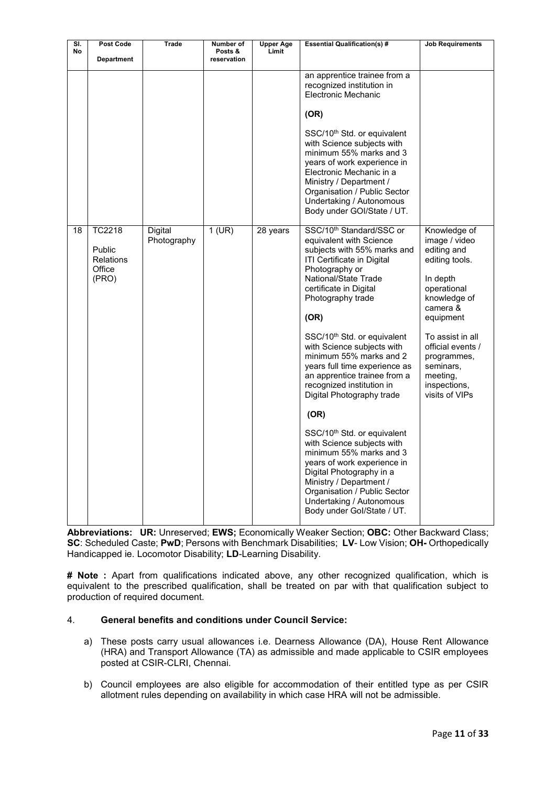| SI.<br><b>No</b> | <b>Post Code</b><br><b>Department</b>                          | Trade                  | Number of<br>Posts &<br>reservation | <b>Upper Age</b><br>Limit | <b>Essential Qualification(s) #</b>                                                                                                                                                                                                                                                                                                                                                                                                                                                                                                                                                                                                                                                                                                                      | <b>Job Requirements</b>                                                                                                                                                                                                                               |
|------------------|----------------------------------------------------------------|------------------------|-------------------------------------|---------------------------|----------------------------------------------------------------------------------------------------------------------------------------------------------------------------------------------------------------------------------------------------------------------------------------------------------------------------------------------------------------------------------------------------------------------------------------------------------------------------------------------------------------------------------------------------------------------------------------------------------------------------------------------------------------------------------------------------------------------------------------------------------|-------------------------------------------------------------------------------------------------------------------------------------------------------------------------------------------------------------------------------------------------------|
|                  |                                                                |                        |                                     |                           | an apprentice trainee from a<br>recognized institution in<br><b>Electronic Mechanic</b><br>(OR)<br>SSC/10 <sup>th</sup> Std. or equivalent<br>with Science subjects with<br>minimum 55% marks and 3<br>years of work experience in<br>Electronic Mechanic in a<br>Ministry / Department /<br>Organisation / Public Sector<br>Undertaking / Autonomous<br>Body under GOI/State / UT.                                                                                                                                                                                                                                                                                                                                                                      |                                                                                                                                                                                                                                                       |
| 18               | <b>TC2218</b><br>Public<br><b>Relations</b><br>Office<br>(PRO) | Digital<br>Photography | $1$ (UR)                            | 28 years                  | SSC/10 <sup>th</sup> Standard/SSC or<br>equivalent with Science<br>subjects with 55% marks and<br>ITI Certificate in Digital<br>Photography or<br>National/State Trade<br>certificate in Digital<br>Photography trade<br>(OR)<br>SSC/10 <sup>th</sup> Std. or equivalent<br>with Science subjects with<br>minimum 55% marks and 2<br>years full time experience as<br>an apprentice trainee from a<br>recognized institution in<br>Digital Photography trade<br>(OR)<br>SSC/10 <sup>th</sup> Std. or equivalent<br>with Science subjects with<br>minimum 55% marks and 3<br>years of work experience in<br>Digital Photography in a<br>Ministry / Department /<br>Organisation / Public Sector<br>Undertaking / Autonomous<br>Body under Gol/State / UT. | Knowledge of<br>image / video<br>editing and<br>editing tools.<br>In depth<br>operational<br>knowledge of<br>camera &<br>equipment<br>To assist in all<br>official events /<br>programmes,<br>seminars,<br>meeting,<br>inspections,<br>visits of VIPs |

**Abbreviations: UR:** Unreserved; **EWS;** Economically Weaker Section; **OBC:** Other Backward Class; **SC**: Scheduled Caste; **PwD**; Persons with Benchmark Disabilities; **LV**- Low Vision; **OH-** Orthopedically Handicapped ie. Locomotor Disability; **LD**-Learning Disability.

**# Note :** Apart from qualifications indicated above, any other recognized qualification, which is equivalent to the prescribed qualification, shall be treated on par with that qualification subject to production of required document.

# 4. **General benefits and conditions under Council Service:**

- a) These posts carry usual allowances i.e. Dearness Allowance (DA), House Rent Allowance (HRA) and Transport Allowance (TA) as admissible and made applicable to CSIR employees posted at CSIR-CLRI, Chennai.
- b) Council employees are also eligible for accommodation of their entitled type as per CSIR allotment rules depending on availability in which case HRA will not be admissible.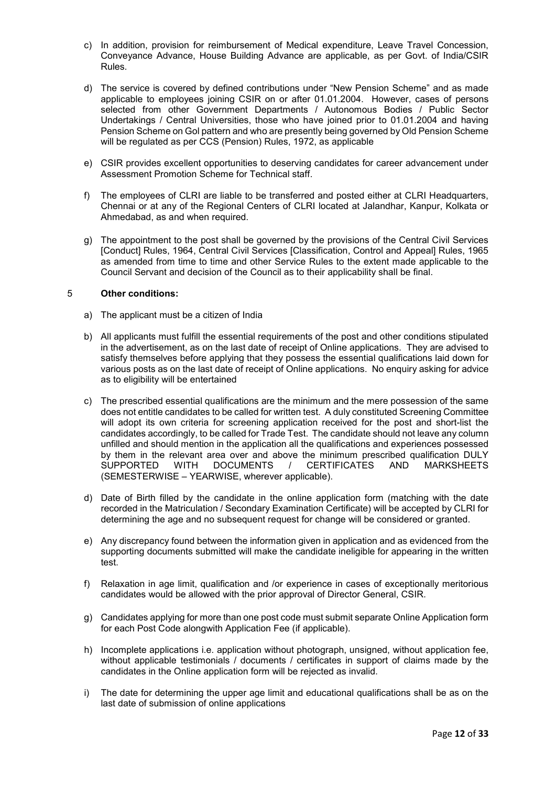- c) In addition, provision for reimbursement of Medical expenditure, Leave Travel Concession, Conveyance Advance, House Building Advance are applicable, as per Govt. of India/CSIR Rules.
- d) The service is covered by defined contributions under "New Pension Scheme" and as made applicable to employees joining CSIR on or after 01.01.2004. However, cases of persons selected from other Government Departments / Autonomous Bodies / Public Sector Undertakings / Central Universities, those who have joined prior to 01.01.2004 and having Pension Scheme on Gol pattern and who are presently being governed by Old Pension Scheme will be regulated as per CCS (Pension) Rules, 1972, as applicable
- e) CSIR provides excellent opportunities to deserving candidates for career advancement under Assessment Promotion Scheme for Technical staff.
- f) The employees of CLRI are liable to be transferred and posted either at CLRI Headquarters, Chennai or at any of the Regional Centers of CLRI located at Jalandhar, Kanpur, Kolkata or Ahmedabad, as and when required.
- g) The appointment to the post shall be governed by the provisions of the Central Civil Services [Conduct] Rules, 1964, Central Civil Services [Classification, Control and Appeal] Rules, 1965 as amended from time to time and other Service Rules to the extent made applicable to the Council Servant and decision of the Council as to their applicability shall be final.

## 5 **Other conditions:**

- a) The applicant must be a citizen of India
- b) All applicants must fulfill the essential requirements of the post and other conditions stipulated in the advertisement, as on the last date of receipt of Online applications. They are advised to satisfy themselves before applying that they possess the essential qualifications laid down for various posts as on the last date of receipt of Online applications. No enquiry asking for advice as to eligibility will be entertained
- c) The prescribed essential qualifications are the minimum and the mere possession of the same does not entitle candidates to be called for written test. A duly constituted Screening Committee will adopt its own criteria for screening application received for the post and short-list the candidates accordingly, to be called for Trade Test. The candidate should not leave any column unfilled and should mention in the application all the qualifications and experiences possessed by them in the relevant area over and above the minimum prescribed qualification DULY<br>SUPPORTED WITH DOCUMENTS / CERTIFICATES AND MARKSHEETS WITH DOCUMENTS / CERTIFICATES AND MARKSHEETS (SEMESTERWISE – YEARWISE, wherever applicable).
- d) Date of Birth filled by the candidate in the online application form (matching with the date recorded in the Matriculation / Secondary Examination Certificate) will be accepted by CLRI for determining the age and no subsequent request for change will be considered or granted.
- e) Any discrepancy found between the information given in application and as evidenced from the supporting documents submitted will make the candidate ineligible for appearing in the written test.
- f) Relaxation in age limit, qualification and /or experience in cases of exceptionally meritorious candidates would be allowed with the prior approval of Director General, CSIR.
- g) Candidates applying for more than one post code must submit separate Online Application form for each Post Code alongwith Application Fee (if applicable).
- h) Incomplete applications i.e. application without photograph, unsigned, without application fee, without applicable testimonials / documents / certificates in support of claims made by the candidates in the Online application form will be rejected as invalid.
- i) The date for determining the upper age limit and educational qualifications shall be as on the last date of submission of online applications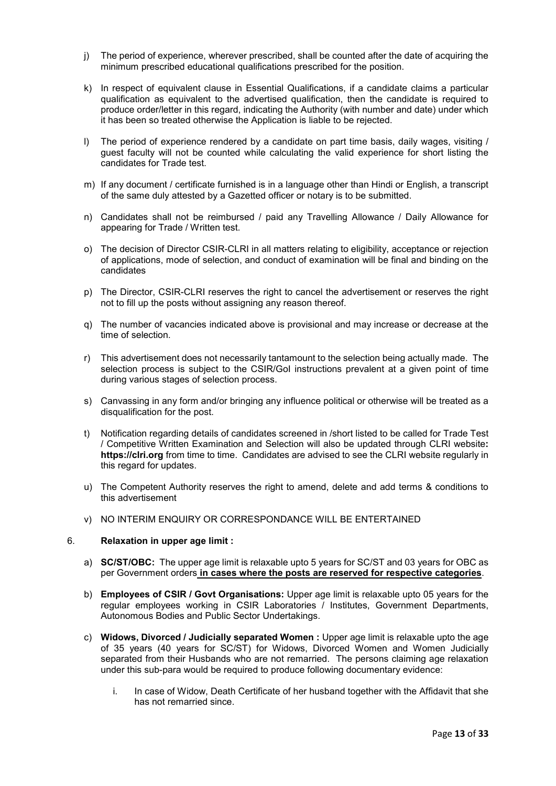- j) The period of experience, wherever prescribed, shall be counted after the date of acquiring the minimum prescribed educational qualifications prescribed for the position.
- k) In respect of equivalent clause in Essential Qualifications, if a candidate claims a particular qualification as equivalent to the advertised qualification, then the candidate is required to produce order/letter in this regard, indicating the Authority (with number and date) under which it has been so treated otherwise the Application is liable to be rejected.
- l) The period of experience rendered by a candidate on part time basis, daily wages, visiting / guest faculty will not be counted while calculating the valid experience for short listing the candidates for Trade test.
- m) If any document / certificate furnished is in a language other than Hindi or English, a transcript of the same duly attested by a Gazetted officer or notary is to be submitted.
- n) Candidates shall not be reimbursed / paid any Travelling Allowance / Daily Allowance for appearing for Trade / Written test.
- o) The decision of Director CSIR-CLRI in all matters relating to eligibility, acceptance or rejection of applications, mode of selection, and conduct of examination will be final and binding on the candidates
- p) The Director, CSIR-CLRI reserves the right to cancel the advertisement or reserves the right not to fill up the posts without assigning any reason thereof.
- q) The number of vacancies indicated above is provisional and may increase or decrease at the time of selection.
- r) This advertisement does not necessarily tantamount to the selection being actually made. The selection process is subject to the CSIR/GoI instructions prevalent at a given point of time during various stages of selection process.
- s) Canvassing in any form and/or bringing any influence political or otherwise will be treated as a disqualification for the post.
- t) Notification regarding details of candidates screened in /short listed to be called for Trade Test / Competitive Written Examination and Selection will also be updated through CLRI website**: https://clri.org** from time to time. Candidates are advised to see the CLRI website regularly in this regard for updates.
- u) The Competent Authority reserves the right to amend, delete and add terms & conditions to this advertisement
- v) NO INTERIM ENQUIRY OR CORRESPONDANCE WILL BE ENTERTAINED

#### 6. **Relaxation in upper age limit :**

- a) **SC/ST/OBC:** The upper age limit is relaxable upto 5 years for SC/ST and 03 years for OBC as per Government orders **in cases where the posts are reserved for respective categories**.
- b) **Employees of CSIR / Govt Organisations:** Upper age limit is relaxable upto 05 years for the regular employees working in CSIR Laboratories / Institutes, Government Departments, Autonomous Bodies and Public Sector Undertakings.
- c) **Widows, Divorced / Judicially separated Women :** Upper age limit is relaxable upto the age of 35 years (40 years for SC/ST) for Widows, Divorced Women and Women Judicially separated from their Husbands who are not remarried. The persons claiming age relaxation under this sub-para would be required to produce following documentary evidence:
	- i. In case of Widow, Death Certificate of her husband together with the Affidavit that she has not remarried since.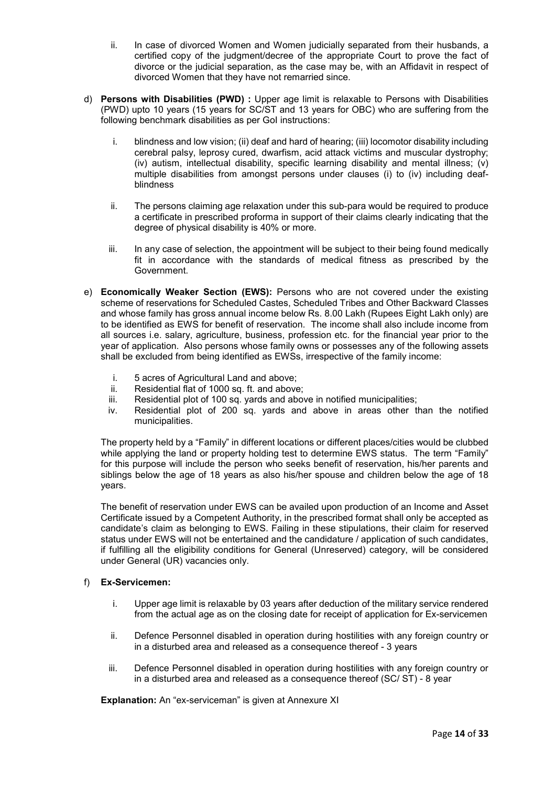- ii. In case of divorced Women and Women judicially separated from their husbands, a certified copy of the judgment/decree of the appropriate Court to prove the fact of divorce or the judicial separation, as the case may be, with an Affidavit in respect of divorced Women that they have not remarried since.
- d) **Persons with Disabilities (PWD) :** Upper age limit is relaxable to Persons with Disabilities (PWD) upto 10 years (15 years for SC/ST and 13 years for OBC) who are suffering from the following benchmark disabilities as per GoI instructions:
	- i. blindness and low vision; (ii) deaf and hard of hearing; (iii) locomotor disability including cerebral palsy, leprosy cured, dwarfism, acid attack victims and muscular dystrophy; (iv) autism, intellectual disability, specific learning disability and mental illness; (v) multiple disabilities from amongst persons under clauses (i) to (iv) including deafblindness
	- ii. The persons claiming age relaxation under this sub-para would be required to produce a certificate in prescribed proforma in support of their claims clearly indicating that the degree of physical disability is 40% or more.
	- iii. In any case of selection, the appointment will be subject to their being found medically fit in accordance with the standards of medical fitness as prescribed by the Government.
- e) **Economically Weaker Section (EWS):** Persons who are not covered under the existing scheme of reservations for Scheduled Castes, Scheduled Tribes and Other Backward Classes and whose family has gross annual income below Rs. 8.00 Lakh (Rupees Eight Lakh only) are to be identified as EWS for benefit of reservation. The income shall also include income from all sources i.e. salary, agriculture, business, profession etc. for the financial year prior to the year of application. Also persons whose family owns or possesses any of the following assets shall be excluded from being identified as EWSs, irrespective of the family income:
	- i. 5 acres of Agricultural Land and above;<br>ii. Residential flat of 1000 sq. ft. and above
	- Residential flat of 1000 sq. ft. and above;
	- iii. Residential plot of 100 sq. yards and above in notified municipalities;
	- iv. Residential plot of 200 sq. yards and above in areas other than the notified municipalities.

The property held by a "Family" in different locations or different places/cities would be clubbed while applying the land or property holding test to determine EWS status. The term "Family" for this purpose will include the person who seeks benefit of reservation, his/her parents and siblings below the age of 18 years as also his/her spouse and children below the age of 18 years.

The benefit of reservation under EWS can be availed upon production of an Income and Asset Certificate issued by a Competent Authority, in the prescribed format shall only be accepted as candidate's claim as belonging to EWS. Failing in these stipulations, their claim for reserved status under EWS will not be entertained and the candidature / application of such candidates, if fulfilling all the eligibility conditions for General (Unreserved) category, will be considered under General (UR) vacancies only.

# f) **Ex-Servicemen:**

- i. Upper age limit is relaxable by 03 years after deduction of the military service rendered from the actual age as on the closing date for receipt of application for Ex-servicemen
- ii. Defence Personnel disabled in operation during hostilities with any foreign country or in a disturbed area and released as a consequence thereof - 3 years
- iii. Defence Personnel disabled in operation during hostilities with any foreign country or in a disturbed area and released as a consequence thereof (SC/ ST) - 8 year

**Explanation:** An "ex-serviceman" is given at Annexure XI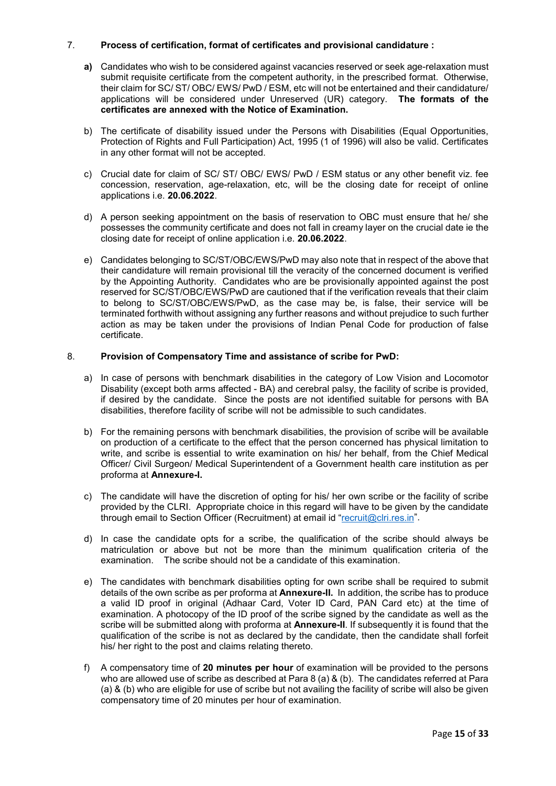## 7. **Process of certification, format of certificates and provisional candidature :**

- **a)** Candidates who wish to be considered against vacancies reserved or seek age-relaxation must submit requisite certificate from the competent authority, in the prescribed format. Otherwise, their claim for SC/ ST/ OBC/ EWS/ PwD / ESM, etc will not be entertained and their candidature/ applications will be considered under Unreserved (UR) category. **The formats of the certificates are annexed with the Notice of Examination.**
- b) The certificate of disability issued under the Persons with Disabilities (Equal Opportunities, Protection of Rights and Full Participation) Act, 1995 (1 of 1996) will also be valid. Certificates in any other format will not be accepted.
- c) Crucial date for claim of SC/ ST/ OBC/ EWS/ PwD / ESM status or any other benefit viz. fee concession, reservation, age-relaxation, etc, will be the closing date for receipt of online applications i.e. **20.06.2022**.
- d) A person seeking appointment on the basis of reservation to OBC must ensure that he/ she possesses the community certificate and does not fall in creamy layer on the crucial date ie the closing date for receipt of online application i.e. **20.06.2022**.
- e) Candidates belonging to SC/ST/OBC/EWS/PwD may also note that in respect of the above that their candidature will remain provisional till the veracity of the concerned document is verified by the Appointing Authority. Candidates who are be provisionally appointed against the post reserved for SC/ST/OBC/EWS/PwD are cautioned that if the verification reveals that their claim to belong to SC/ST/OBC/EWS/PwD, as the case may be, is false, their service will be terminated forthwith without assigning any further reasons and without prejudice to such further action as may be taken under the provisions of Indian Penal Code for production of false certificate.

### 8. **Provision of Compensatory Time and assistance of scribe for PwD:**

- a) In case of persons with benchmark disabilities in the category of Low Vision and Locomotor Disability (except both arms affected - BA) and cerebral palsy, the facility of scribe is provided, if desired by the candidate. Since the posts are not identified suitable for persons with BA disabilities, therefore facility of scribe will not be admissible to such candidates.
- b) For the remaining persons with benchmark disabilities, the provision of scribe will be available on production of a certificate to the effect that the person concerned has physical limitation to write, and scribe is essential to write examination on his/ her behalf, from the Chief Medical Officer/ Civil Surgeon/ Medical Superintendent of a Government health care institution as per proforma at **Annexure-I.**
- c) The candidate will have the discretion of opting for his/ her own scribe or the facility of scribe provided by the CLRI. Appropriate choice in this regard will have to be given by the candidate through email to Section Officer (Recruitment) at email id ["recruit@clri.res.in"](mailto:recruit@clri.res.in).
- d) In case the candidate opts for a scribe, the qualification of the scribe should always be matriculation or above but not be more than the minimum qualification criteria of the examination. The scribe should not be a candidate of this examination.
- e) The candidates with benchmark disabilities opting for own scribe shall be required to submit details of the own scribe as per proforma at **Annexure-II.** In addition, the scribe has to produce a valid ID proof in original (Adhaar Card, Voter ID Card, PAN Card etc) at the time of examination. A photocopy of the ID proof of the scribe signed by the candidate as well as the scribe will be submitted along with proforma at **Annexure-II**. If subsequently it is found that the qualification of the scribe is not as declared by the candidate, then the candidate shall forfeit his/ her right to the post and claims relating thereto.
- f) A compensatory time of **20 minutes per hour** of examination will be provided to the persons who are allowed use of scribe as described at Para 8 (a) & (b). The candidates referred at Para (a) & (b) who are eligible for use of scribe but not availing the facility of scribe will also be given compensatory time of 20 minutes per hour of examination.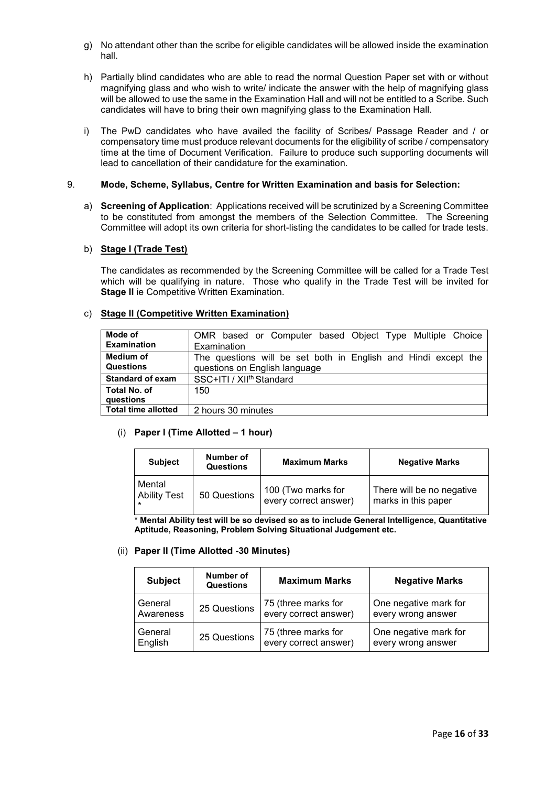- g) No attendant other than the scribe for eligible candidates will be allowed inside the examination hall.
- h) Partially blind candidates who are able to read the normal Question Paper set with or without magnifying glass and who wish to write/ indicate the answer with the help of magnifying glass will be allowed to use the same in the Examination Hall and will not be entitled to a Scribe. Such candidates will have to bring their own magnifying glass to the Examination Hall.
- i) The PwD candidates who have availed the facility of Scribes/ Passage Reader and / or compensatory time must produce relevant documents for the eligibility of scribe / compensatory time at the time of Document Verification. Failure to produce such supporting documents will lead to cancellation of their candidature for the examination.

#### 9. **Mode, Scheme, Syllabus, Centre for Written Examination and basis for Selection:**

a) **Screening of Application**: Applications received will be scrutinized by a Screening Committee to be constituted from amongst the members of the Selection Committee. The Screening Committee will adopt its own criteria for short-listing the candidates to be called for trade tests.

# b) **Stage I (Trade Test)**

The candidates as recommended by the Screening Committee will be called for a Trade Test which will be qualifying in nature. Those who qualify in the Trade Test will be invited for **Stage II** ie Competitive Written Examination.

### c) **Stage II (Competitive Written Examination)**

| Mode of                    | OMR based or Computer based Object Type Multiple Choice        |
|----------------------------|----------------------------------------------------------------|
| <b>Examination</b>         | Examination                                                    |
| Medium of                  | The questions will be set both in English and Hindi except the |
| <b>Questions</b>           | questions on English language                                  |
| <b>Standard of exam</b>    | SSC+ITI / XII <sup>th</sup> Standard                           |
| Total No. of               | 150                                                            |
| auestions                  |                                                                |
| <b>Total time allotted</b> | 2 hours 30 minutes                                             |

**Total time allotted** 2 hours 30 minutes

#### (i) **Paper I (Time Allotted – 1 hour)**

| <b>Subject</b>      | Number of<br><b>Questions</b> | <b>Maximum Marks</b>  | <b>Negative Marks</b>     |
|---------------------|-------------------------------|-----------------------|---------------------------|
| Mental              | 50 Questions                  | 100 (Two marks for    | There will be no negative |
| <b>Ability Test</b> |                               | every correct answer) | marks in this paper       |

**\* Mental Ability test will be so devised so as to include General Intelligence, Quantitative Aptitude, Reasoning, Problem Solving Situational Judgement etc.** 

#### (ii) **Paper II (Time Allotted -30 Minutes)**

| <b>Subject</b> | Number of<br><b>Questions</b> | <b>Maximum Marks</b>  | <b>Negative Marks</b> |
|----------------|-------------------------------|-----------------------|-----------------------|
| General        | 25 Questions                  | 75 (three marks for   | One negative mark for |
| Awareness      |                               | every correct answer) | every wrong answer    |
| General        | 25 Questions                  | 75 (three marks for   | One negative mark for |
| English        |                               | every correct answer) | every wrong answer    |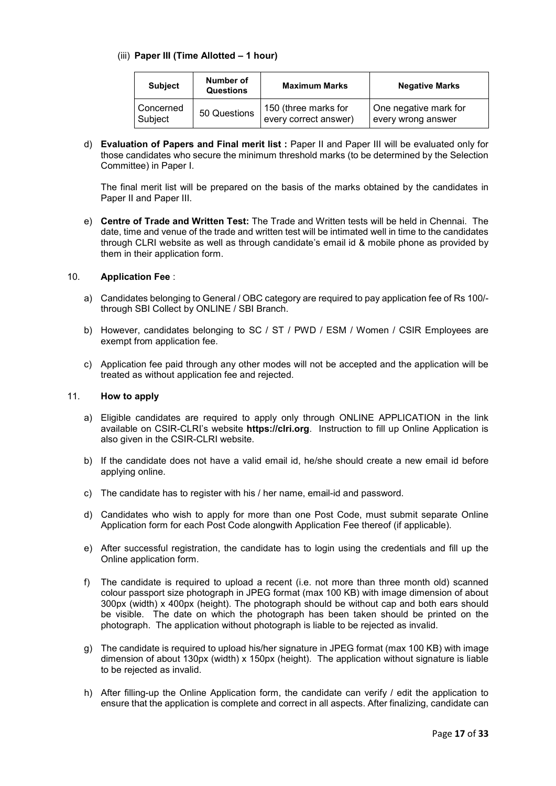## (iii) **Paper III (Time Allotted – 1 hour)**

| <b>Subject</b> | Number of<br><b>Questions</b> | <b>Maximum Marks</b>  | <b>Negative Marks</b> |
|----------------|-------------------------------|-----------------------|-----------------------|
| Concerned      | 50 Questions                  | 150 (three marks for  | One negative mark for |
| Subject        |                               | every correct answer) | every wrong answer    |

d) **Evaluation of Papers and Final merit list :** Paper II and Paper III will be evaluated only for those candidates who secure the minimum threshold marks (to be determined by the Selection Committee) in Paper I.

The final merit list will be prepared on the basis of the marks obtained by the candidates in Paper II and Paper III.

e) **Centre of Trade and Written Test:** The Trade and Written tests will be held in Chennai. The date, time and venue of the trade and written test will be intimated well in time to the candidates through CLRI website as well as through candidate's email id & mobile phone as provided by them in their application form.

### 10. **Application Fee** :

- a) Candidates belonging to General / OBC category are required to pay application fee of Rs 100/ through SBI Collect by ONLINE / SBI Branch.
- b) However, candidates belonging to SC / ST / PWD / ESM / Women / CSIR Employees are exempt from application fee.
- c) Application fee paid through any other modes will not be accepted and the application will be treated as without application fee and rejected.

#### 11. **How to apply**

- a) Eligible candidates are required to apply only through ONLINE APPLICATION in the link available on CSIR-CLRI's website **https://clri.org**. Instruction to fill up Online Application is also given in the CSIR-CLRI website.
- b) If the candidate does not have a valid email id, he/she should create a new email id before applying online.
- c) The candidate has to register with his / her name, email-id and password.
- d) Candidates who wish to apply for more than one Post Code, must submit separate Online Application form for each Post Code alongwith Application Fee thereof (if applicable).
- e) After successful registration, the candidate has to login using the credentials and fill up the Online application form.
- f) The candidate is required to upload a recent (i.e. not more than three month old) scanned colour passport size photograph in JPEG format (max 100 KB) with image dimension of about 300px (width) x 400px (height). The photograph should be without cap and both ears should be visible. The date on which the photograph has been taken should be printed on the photograph. The application without photograph is liable to be rejected as invalid.
- g) The candidate is required to upload his/her signature in JPEG format (max 100 KB) with image dimension of about 130px (width) x 150px (height). The application without signature is liable to be rejected as invalid.
- h) After filling-up the Online Application form, the candidate can verify / edit the application to ensure that the application is complete and correct in all aspects. After finalizing, candidate can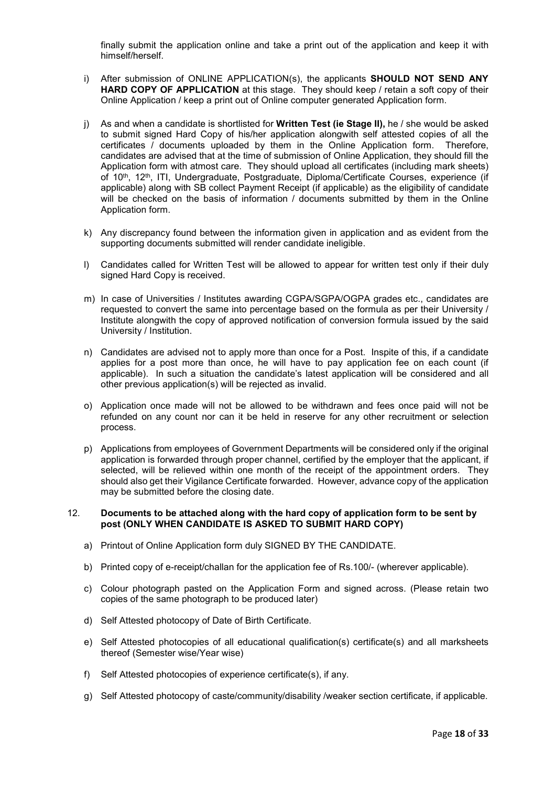finally submit the application online and take a print out of the application and keep it with himself/herself.

- i) After submission of ONLINE APPLICATION(s), the applicants **SHOULD NOT SEND ANY HARD COPY OF APPLICATION** at this stage. They should keep / retain a soft copy of their Online Application / keep a print out of Online computer generated Application form.
- j) As and when a candidate is shortlisted for **Written Test (ie Stage II),** he / she would be asked to submit signed Hard Copy of his/her application alongwith self attested copies of all the certificates / documents uploaded by them in the Online Application form. Therefore, candidates are advised that at the time of submission of Online Application, they should fill the Application form with atmost care. They should upload all certificates (including mark sheets) of 10<sup>th</sup>, 12<sup>th</sup>, ITI, Undergraduate, Postgraduate, Diploma/Certificate Courses, experience (if applicable) along with SB collect Payment Receipt (if applicable) as the eligibility of candidate will be checked on the basis of information / documents submitted by them in the Online Application form.
- k) Any discrepancy found between the information given in application and as evident from the supporting documents submitted will render candidate ineligible.
- l) Candidates called for Written Test will be allowed to appear for written test only if their duly signed Hard Copy is received.
- m) In case of Universities / Institutes awarding CGPA/SGPA/OGPA grades etc., candidates are requested to convert the same into percentage based on the formula as per their University / Institute alongwith the copy of approved notification of conversion formula issued by the said University / Institution.
- n) Candidates are advised not to apply more than once for a Post. Inspite of this, if a candidate applies for a post more than once, he will have to pay application fee on each count (if applicable). In such a situation the candidate's latest application will be considered and all other previous application(s) will be rejected as invalid.
- o) Application once made will not be allowed to be withdrawn and fees once paid will not be refunded on any count nor can it be held in reserve for any other recruitment or selection process.
- p) Applications from employees of Government Departments will be considered only if the original application is forwarded through proper channel, certified by the employer that the applicant, if selected, will be relieved within one month of the receipt of the appointment orders. They should also get their Vigilance Certificate forwarded. However, advance copy of the application may be submitted before the closing date.

#### 12. **Documents to be attached along with the hard copy of application form to be sent by post (ONLY WHEN CANDIDATE IS ASKED TO SUBMIT HARD COPY)**

- a) Printout of Online Application form duly SIGNED BY THE CANDIDATE.
- b) Printed copy of e-receipt/challan for the application fee of Rs.100/- (wherever applicable).
- c) Colour photograph pasted on the Application Form and signed across. (Please retain two copies of the same photograph to be produced later)
- d) Self Attested photocopy of Date of Birth Certificate.
- e) Self Attested photocopies of all educational qualification(s) certificate(s) and all marksheets thereof (Semester wise/Year wise)
- f) Self Attested photocopies of experience certificate(s), if any.
- g) Self Attested photocopy of caste/community/disability /weaker section certificate, if applicable.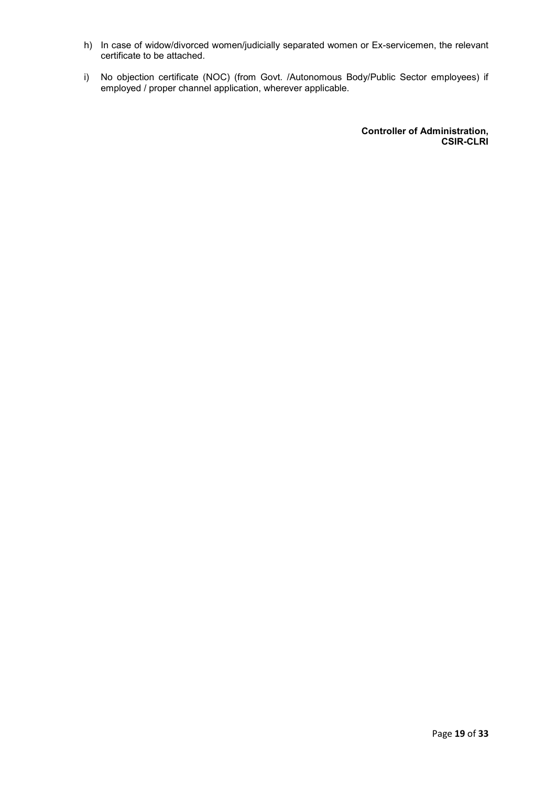- h) In case of widow/divorced women/judicially separated women or Ex-servicemen, the relevant certificate to be attached.
- i) No objection certificate (NOC) (from Govt. /Autonomous Body/Public Sector employees) if employed / proper channel application, wherever applicable.

**Controller of Administration, CSIR-CLRI**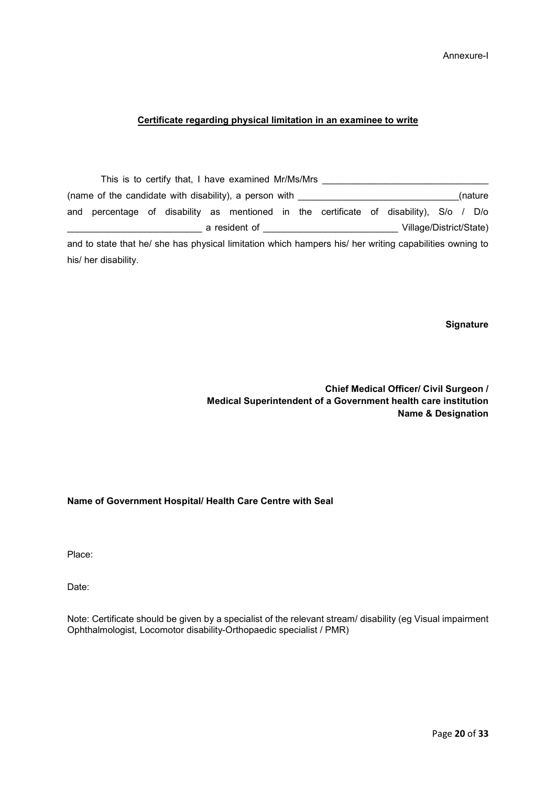# Annexure-I

### **Certificate regarding physical limitation in an examinee to write**

|     |                                                                                                         |  | This is to certify that, I have examined Mr/Ms/Mrs                                                             |  |  |                         |  |         |
|-----|---------------------------------------------------------------------------------------------------------|--|----------------------------------------------------------------------------------------------------------------|--|--|-------------------------|--|---------|
|     | (name of the candidate with disability), a person with                                                  |  |                                                                                                                |  |  |                         |  | (nature |
| and | percentage of disability as mentioned in the certificate of disability), S/o / D/o                      |  |                                                                                                                |  |  |                         |  |         |
|     |                                                                                                         |  | a resident of the state of the state of the state of the state of the state of the state of the state of the s |  |  | Village/District/State) |  |         |
|     | and to state that he/ she has physical limitation which hampers his/ her writing capabilities owning to |  |                                                                                                                |  |  |                         |  |         |
|     | his/ her disability.                                                                                    |  |                                                                                                                |  |  |                         |  |         |

**Signature** 

**Chief Medical Officer/ Civil Surgeon / Medical Superintendent of a Government health care institution Name & Designation** 

## **Name of Government Hospital/ Health Care Centre with Seal**

Place:

Date:

Note: Certificate should be given by a specialist of the relevant stream/ disability (eg Visual impairment Ophthalmologist, Locomotor disability-Orthopaedic specialist / PMR)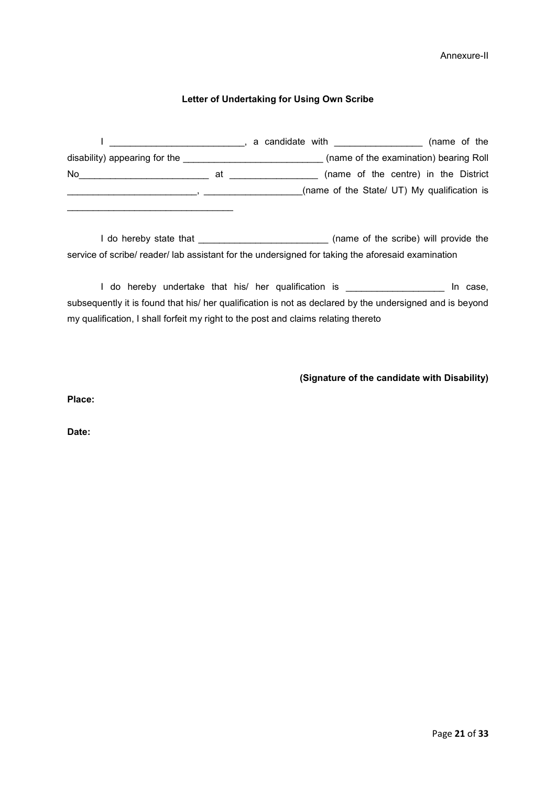# Annexure-II

# **Letter of Undertaking for Using Own Scribe**

|                               |    | (name of the<br>a candidate with <b>container the container and the container</b> |
|-------------------------------|----|-----------------------------------------------------------------------------------|
| disability) appearing for the |    | (name of the examination) bearing Roll                                            |
| No                            | at | (name of the centre) in the District                                              |
|                               |    | (name of the State/ UT) My qualification is                                       |
|                               |    |                                                                                   |

I do hereby state that \_\_\_\_\_\_\_\_\_\_\_\_\_\_\_\_\_\_\_\_\_\_\_\_\_\_\_\_\_\_\_\_ (name of the scribe) will provide the service of scribe/ reader/ lab assistant for the undersigned for taking the aforesaid examination

I do hereby undertake that his/ her qualification is \_\_\_\_\_\_\_\_\_\_\_\_\_\_\_\_\_\_\_\_\_\_\_ In case, subsequently it is found that his/ her qualification is not as declared by the undersigned and is beyond my qualification, I shall forfeit my right to the post and claims relating thereto

# **(Signature of the candidate with Disability)**

**Place:** 

**Date:**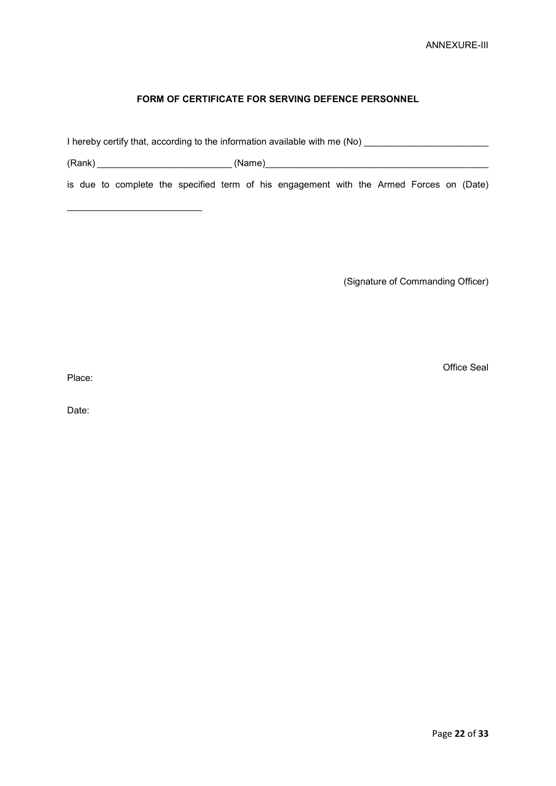# **FORM OF CERTIFICATE FOR SERVING DEFENCE PERSONNEL**

I hereby certify that, according to the information available with me (No) \_\_\_\_\_\_\_\_\_\_\_\_\_\_\_\_\_\_\_\_\_\_\_\_\_\_\_\_\_\_\_\_\_\_\_

(Rank) \_\_\_\_\_\_\_\_\_\_\_\_\_\_\_\_\_\_\_\_\_\_\_\_\_\_ (Name)\_\_\_\_\_\_\_\_\_\_\_\_\_\_\_\_\_\_\_\_\_\_\_\_\_\_\_\_\_\_\_\_\_\_\_\_\_\_\_\_\_\_\_

\_\_\_\_\_\_\_\_\_\_\_\_\_\_\_\_\_\_\_\_\_\_\_\_\_\_

is due to complete the specified term of his engagement with the Armed Forces on (Date)

(Signature of Commanding Officer)

Office Seal

Place:

Date: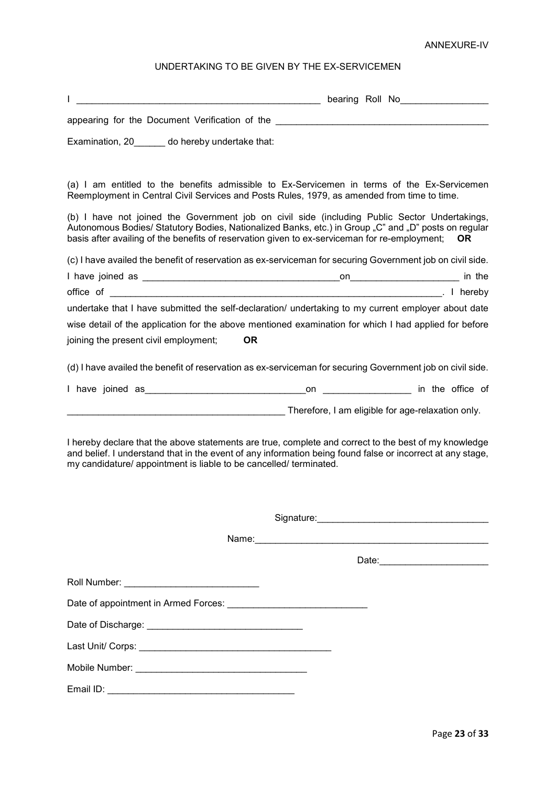## ANNEXURE-IV

# UNDERTAKING TO BE GIVEN BY THE EX-SERVICEMEN

|                                                                                               | bearing Roll No<br>Letter School School School School School School School School School School School School School School School School School School School School School School School School School School School School Sc |           |
|-----------------------------------------------------------------------------------------------|----------------------------------------------------------------------------------------------------------------------------------------------------------------------------------------------------------------------------------|-----------|
| appearing for the Document Verification of the <b>Community and Contract to the Community</b> |                                                                                                                                                                                                                                  |           |
| Examination, 20 do hereby undertake that:                                                     |                                                                                                                                                                                                                                  |           |
|                                                                                               | (a) I am entitled to the benefits admissible to Ex-Servicemen in terms of the Ex-Servicemen<br>Reemployment in Central Civil Services and Posts Rules, 1979, as amended from time to time.                                       |           |
| basis after availing of the benefits of reservation given to ex-serviceman for re-employment; | (b) I have not joined the Government job on civil side (including Public Sector Undertakings,<br>Autonomous Bodies/ Statutory Bodies, Nationalized Banks, etc.) in Group "C" and "D" posts on regular                            | <b>OR</b> |
|                                                                                               | (c) I have availed the benefit of reservation as ex-serviceman for securing Government job on civil side.                                                                                                                        |           |
|                                                                                               |                                                                                                                                                                                                                                  |           |
|                                                                                               |                                                                                                                                                                                                                                  |           |
|                                                                                               | undertake that I have submitted the self-declaration/ undertaking to my current employer about date                                                                                                                              |           |
|                                                                                               | wise detail of the application for the above mentioned examination for which I had applied for before                                                                                                                            |           |
| joining the present civil employment;<br><b>OR</b>                                            |                                                                                                                                                                                                                                  |           |
|                                                                                               | (d) I have availed the benefit of reservation as ex-serviceman for securing Government job on civil side.                                                                                                                        |           |
|                                                                                               |                                                                                                                                                                                                                                  |           |
|                                                                                               | Therefore, I am eligible for age-relaxation only.                                                                                                                                                                                |           |
| my candidature/ appointment is liable to be cancelled/ terminated.                            | I hereby declare that the above statements are true, complete and correct to the best of my knowledge<br>and belief. I understand that in the event of any information being found false or incorrect at any stage,              |           |
|                                                                                               |                                                                                                                                                                                                                                  |           |
|                                                                                               |                                                                                                                                                                                                                                  |           |
|                                                                                               |                                                                                                                                                                                                                                  |           |
|                                                                                               | Date: 2004 2012 2013 2014 2015 2016 2017 2018 2019 2019 2014 2015 2016 2017 2018 2019 2019 2019 2019 2019 201                                                                                                                    |           |
|                                                                                               |                                                                                                                                                                                                                                  |           |
|                                                                                               |                                                                                                                                                                                                                                  |           |
|                                                                                               |                                                                                                                                                                                                                                  |           |
|                                                                                               |                                                                                                                                                                                                                                  |           |
|                                                                                               |                                                                                                                                                                                                                                  |           |
|                                                                                               |                                                                                                                                                                                                                                  |           |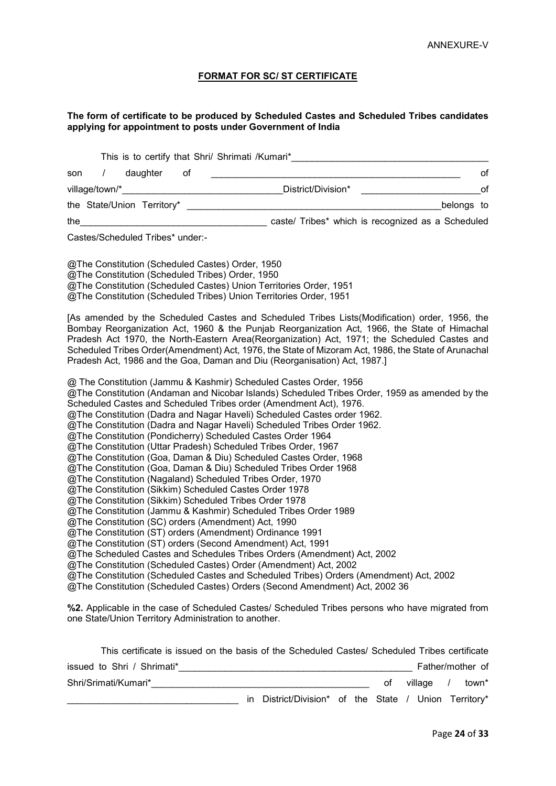## **FORMAT FOR SC/ ST CERTIFICATE**

#### **The form of certificate to be produced by Scheduled Castes and Scheduled Tribes candidates applying for appointment to posts under Government of India**

|     |                |                            |    | This is to certify that Shri/ Shrimati /Kumari*   |            |
|-----|----------------|----------------------------|----|---------------------------------------------------|------------|
| son |                | daughter                   | 0f |                                                   | οf         |
|     | village/town/* |                            |    | District/Division*                                | Ωt         |
|     |                | the State/Union Territory* |    |                                                   | belongs to |
| the |                |                            |    | caste/ Tribes* which is recognized as a Scheduled |            |

Castes/Scheduled Tribes\* under:-

@The Constitution (Scheduled Castes) Order, 1950 @The Constitution (Scheduled Tribes) Order, 1950 @The Constitution (Scheduled Castes) Union Territories Order, 1951 @The Constitution (Scheduled Tribes) Union Territories Order, 1951

[As amended by the Scheduled Castes and Scheduled Tribes Lists(Modification) order, 1956, the Bombay Reorganization Act, 1960 & the Punjab Reorganization Act, 1966, the State of Himachal Pradesh Act 1970, the North-Eastern Area(Reorganization) Act, 1971; the Scheduled Castes and Scheduled Tribes Order(Amendment) Act, 1976, the State of Mizoram Act, 1986, the State of Arunachal Pradesh Act, 1986 and the Goa, Daman and Diu (Reorganisation) Act, 1987.]

@ The Constitution (Jammu & Kashmir) Scheduled Castes Order, 1956

@The Constitution (Andaman and Nicobar Islands) Scheduled Tribes Order, 1959 as amended by the Scheduled Castes and Scheduled Tribes order (Amendment Act), 1976.

@The Constitution (Dadra and Nagar Haveli) Scheduled Castes order 1962.

@The Constitution (Dadra and Nagar Haveli) Scheduled Tribes Order 1962.

@The Constitution (Pondicherry) Scheduled Castes Order 1964

@The Constitution (Uttar Pradesh) Scheduled Tribes Order, 1967

@The Constitution (Goa, Daman & Diu) Scheduled Castes Order, 1968

@The Constitution (Goa, Daman & Diu) Scheduled Tribes Order 1968

@The Constitution (Nagaland) Scheduled Tribes Order, 1970

@The Constitution (Sikkim) Scheduled Castes Order 1978

@The Constitution (Sikkim) Scheduled Tribes Order 1978

@The Constitution (Jammu & Kashmir) Scheduled Tribes Order 1989

@The Constitution (SC) orders (Amendment) Act, 1990

@The Constitution (ST) orders (Amendment) Ordinance 1991

@The Constitution (ST) orders (Second Amendment) Act, 1991

@The Scheduled Castes and Schedules Tribes Orders (Amendment) Act, 2002

@The Constitution (Scheduled Castes) Order (Amendment) Act, 2002

@The Constitution (Scheduled Castes and Scheduled Tribes) Orders (Amendment) Act, 2002

@The Constitution (Scheduled Castes) Orders (Second Amendment) Act, 2002 36

**%2.** Applicable in the case of Scheduled Castes/ Scheduled Tribes persons who have migrated from one State/Union Territory Administration to another.

| This certificate is issued on the basis of the Scheduled Castes/ Scheduled Tribes certificate |                                                       |  |    |                  |       |
|-----------------------------------------------------------------------------------------------|-------------------------------------------------------|--|----|------------------|-------|
| issued to Shri / Shrimati*                                                                    |                                                       |  |    | Father/mother of |       |
| Shri/Srimati/Kumari*                                                                          |                                                       |  | οt | village          | town* |
|                                                                                               | in District/Division* of the State / Union Territory* |  |    |                  |       |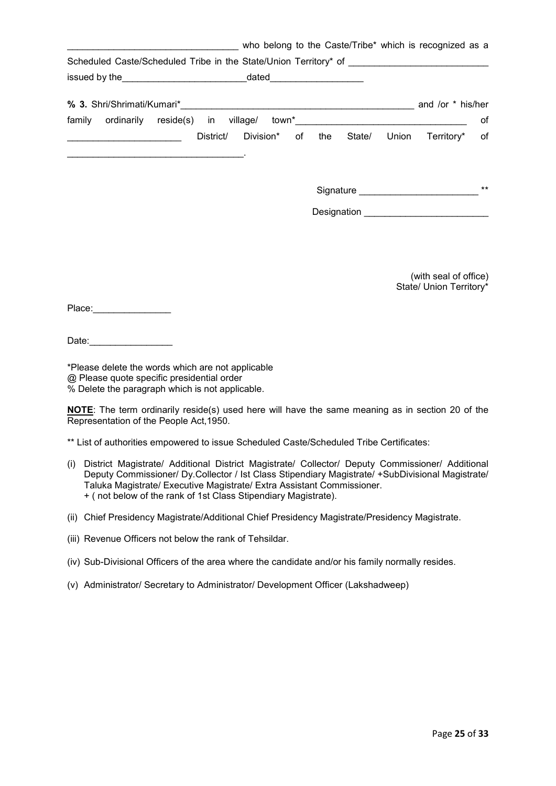| who belong to the Caste/Tribe* which is recognized as a                                                                                                                                                                              |  |  |                                                    |       |
|--------------------------------------------------------------------------------------------------------------------------------------------------------------------------------------------------------------------------------------|--|--|----------------------------------------------------|-------|
| Scheduled Caste/Scheduled Tribe in the State/Union Territory* of __________________________________                                                                                                                                  |  |  |                                                    |       |
|                                                                                                                                                                                                                                      |  |  |                                                    |       |
|                                                                                                                                                                                                                                      |  |  |                                                    |       |
| family ordinarily reside(s) in village/ town*___________________________________                                                                                                                                                     |  |  |                                                    | of    |
| <u> The Communication of the Communication of the Communication of the Communication of the Communication of the Communication of the Communication of the Communication of the Communication of the Communication of the Commun</u> |  |  | District/ Division* of the State/ Union Territory* | of    |
|                                                                                                                                                                                                                                      |  |  | Signature                                          | $***$ |
|                                                                                                                                                                                                                                      |  |  | Designation ______________________________         |       |
|                                                                                                                                                                                                                                      |  |  | (with seal of office)<br>State/ Union Territory*   |       |
| Place: _________________                                                                                                                                                                                                             |  |  |                                                    |       |

Date:

\*Please delete the words which are not applicable @ Please quote specific presidential order % Delete the paragraph which is not applicable.

**NOTE**: The term ordinarily reside(s) used here will have the same meaning as in section 20 of the Representation of the People Act, 1950.

\*\* List of authorities empowered to issue Scheduled Caste/Scheduled Tribe Certificates:

- (i) District Magistrate/ Additional District Magistrate/ Collector/ Deputy Commissioner/ Additional Deputy Commissioner/ Dy.Collector / Ist Class Stipendiary Magistrate/ +SubDivisional Magistrate/ Taluka Magistrate/ Executive Magistrate/ Extra Assistant Commissioner. + ( not below of the rank of 1st Class Stipendiary Magistrate).
- (ii) Chief Presidency Magistrate/Additional Chief Presidency Magistrate/Presidency Magistrate.
- (iii) Revenue Officers not below the rank of Tehsildar.
- (iv) Sub-Divisional Officers of the area where the candidate and/or his family normally resides.
- (v) Administrator/ Secretary to Administrator/ Development Officer (Lakshadweep)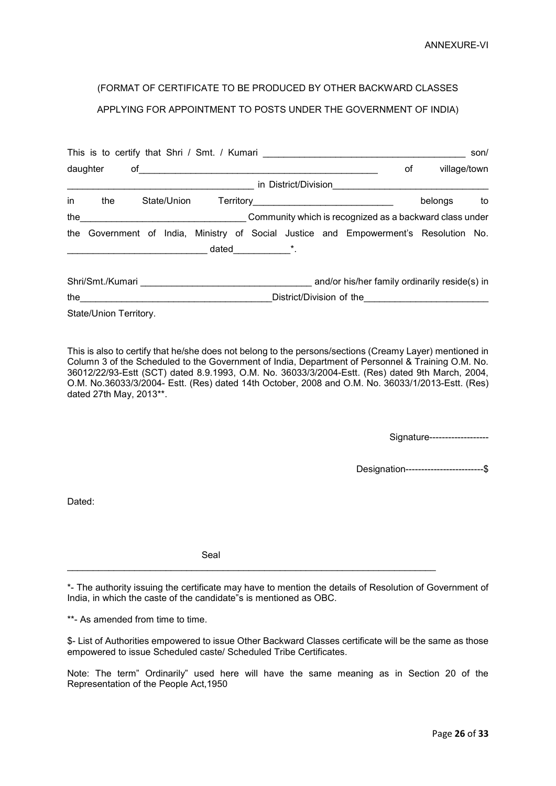# (FORMAT OF CERTIFICATE TO BE PRODUCED BY OTHER BACKWARD CLASSES APPLYING FOR APPOINTMENT TO POSTS UNDER THE GOVERNMENT OF INDIA)

|    |                        |             |                      |                |                      | This is to certify that Shri / Smt. / Kumari ___________________________________     |              | son/ |
|----|------------------------|-------------|----------------------|----------------|----------------------|--------------------------------------------------------------------------------------|--------------|------|
|    | daughter               |             | $of$ $\qquad \qquad$ |                |                      | οf                                                                                   | village/town |      |
|    |                        |             |                      |                | in District/Division |                                                                                      |              |      |
| in | the                    | State/Union |                      |                |                      |                                                                                      | belongs      | to   |
|    |                        |             |                      |                |                      | the the community which is recognized as a backward class under                      |              |      |
|    |                        |             |                      |                |                      | the Government of India, Ministry of Social Justice and Empowerment's Resolution No. |              |      |
|    |                        |             |                      | $dataed$ $*$ . |                      |                                                                                      |              |      |
|    |                        |             |                      |                |                      | and/or his/her family ordinarily reside(s) in                                        |              |      |
|    | the $\qquad \qquad$    |             |                      |                |                      | District/Division of the <b>Community of the Community of the Community</b>          |              |      |
|    | State/Union Territory. |             |                      |                |                      |                                                                                      |              |      |

This is also to certify that he/she does not belong to the persons/sections (Creamy Layer) mentioned in Column 3 of the Scheduled to the Government of India, Department of Personnel & Training O.M. No. 36012/22/93-Estt (SCT) dated 8.9.1993, O.M. No. 36033/3/2004-Estt. (Res) dated 9th March, 2004, O.M. No.36033/3/2004- Estt. (Res) dated 14th October, 2008 and O.M. No. 36033/1/2013-Estt. (Res) dated 27th May, 2013\*\*.

Signature-------------------

Designation-------------------------\$

Dated:

Seal

\*- The authority issuing the certificate may have to mention the details of Resolution of Government of India, in which the caste of the candidate"s is mentioned as OBC.

\_\_\_\_\_\_\_\_\_\_\_\_\_\_\_\_\_\_\_\_\_\_\_\_\_\_\_\_\_\_\_\_\_\_\_\_\_\_\_\_\_\_\_\_\_\_\_\_\_\_\_\_\_\_\_\_\_\_\_\_\_\_\_\_\_\_\_\_\_\_\_

\*\*- As amended from time to time.

\$- List of Authorities empowered to issue Other Backward Classes certificate will be the same as those empowered to issue Scheduled caste/ Scheduled Tribe Certificates.

Note: The term" Ordinarily" used here will have the same meaning as in Section 20 of the Representation of the People Act,1950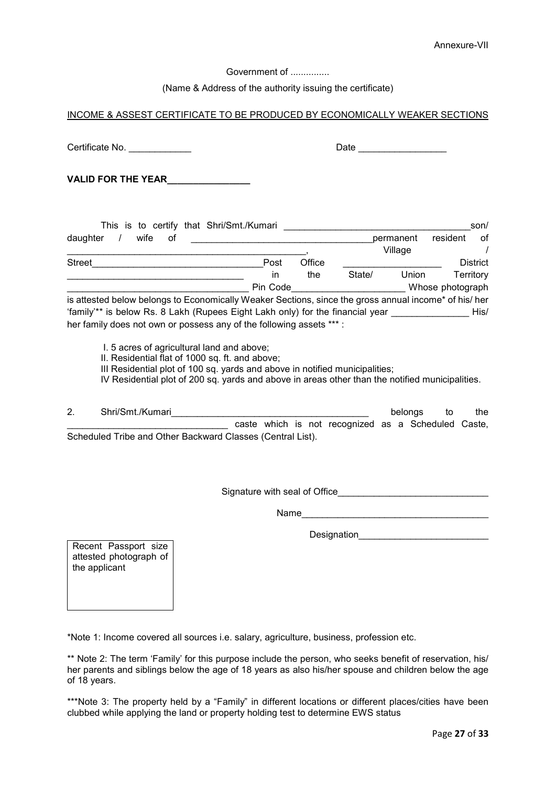Government of ...............

# (Name & Address of the authority issuing the certificate)

## INCOME & ASSEST CERTIFICATE TO BE PRODUCED BY ECONOMICALLY WEAKER SECTIONS

Certificate No. \_\_\_\_\_\_\_\_\_\_\_\_ Date \_\_\_\_\_\_\_\_\_\_\_\_\_\_\_\_\_ **VALID FOR THE YEAR\_\_\_\_\_\_\_\_\_\_\_\_\_\_\_\_** This is to certify that Shri/Smt./Kumari **Example 2018** 2017 daughter / wife of **wife community** daughter / wife of \_\_\_\_\_\_\_\_\_\_\_\_\_\_\_\_\_\_\_\_\_\_\_\_\_\_\_\_\_\_\_\_\_\_\_\_\_\_\_\_\_\_\_\_\_\_, Village / Street\_\_\_\_\_\_\_\_\_\_\_\_\_\_\_\_\_\_\_\_\_\_\_\_\_\_\_\_\_\_\_\_\_Post Office \_\_\_\_\_\_\_\_\_\_\_\_\_\_\_\_\_\_\_ District \_\_\_\_\_\_\_\_\_\_\_\_\_\_\_\_\_\_\_\_\_\_\_\_\_\_\_\_\_\_\_\_\_\_ in the State/ Union Territory \_\_\_\_\_\_\_\_\_\_\_\_\_\_\_\_\_\_\_\_\_\_\_\_\_\_\_\_\_\_\_\_\_\_\_ Pin Code\_\_\_\_\_\_\_\_\_\_\_\_\_\_\_\_\_\_\_\_\_\_ Whose photograph is attested below belongs to Economically Weaker Sections, since the gross annual income\* of his/ her 'family'\*\* is below Rs. 8 Lakh (Rupees Eight Lakh only) for the financial year \_\_\_\_\_\_\_\_\_\_\_\_\_\_\_ His/ her family does not own or possess any of the following assets \*\*\* : I. 5 acres of agricultural land and above; II. Residential flat of 1000 sq. ft. and above; III Residential plot of 100 sq. yards and above in notified municipalities; IV Residential plot of 200 sq. yards and above in areas other than the notified municipalities.

2. Shri/Smt./Kumari **with the contract of the strip of the strip of the strip of the strip of the strip of the strip of the strip of the strip of the strip of the strip of the strip of the strip of the strip of the strip o** caste which is not recognized as a Scheduled Caste, Scheduled Tribe and Other Backward Classes (Central List).

Signature with seal of Office

 $Name$ 

Designation

Recent Passport size attested photograph of the applicant

\*Note 1: Income covered all sources i.e. salary, agriculture, business, profession etc.

\*\* Note 2: The term 'Family' for this purpose include the person, who seeks benefit of reservation, his/ her parents and siblings below the age of 18 years as also his/her spouse and children below the age of 18 years.

\*\*\*Note 3: The property held by a "Family" in different locations or different places/cities have been clubbed while applying the land or property holding test to determine EWS status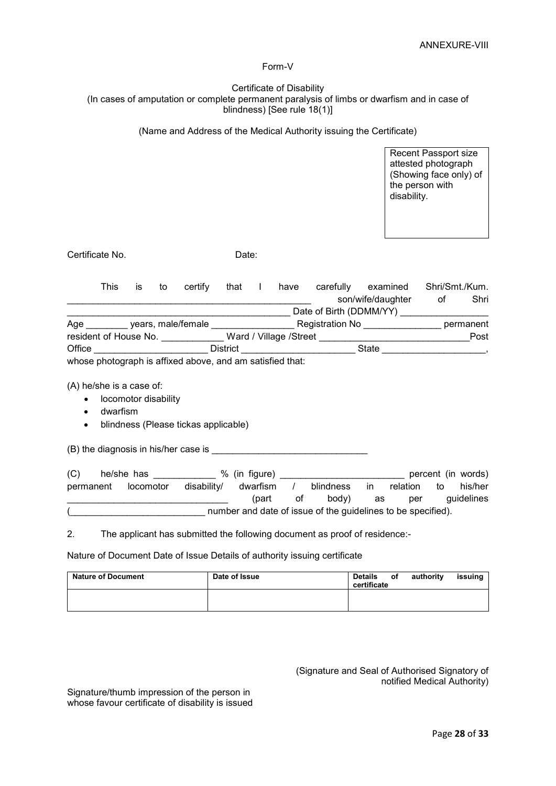#### Form-V

#### Certificate of Disability (In cases of amputation or complete permanent paralysis of limbs or dwarfism and in case of blindness) [See rule 18(1)]

(Name and Address of the Medical Authority issuing the Certificate)

Recent Passport size attested photograph (Showing face only) of the person with disability.

Certificate No. Date:

|        | This                  | İS | to | certify                                                 | that            | have                   | carefully               | examined          | Shri/Smt./Kum. |           |
|--------|-----------------------|----|----|---------------------------------------------------------|-----------------|------------------------|-------------------------|-------------------|----------------|-----------|
|        |                       |    |    |                                                         |                 |                        |                         | son/wife/daughter | οt             | Shri      |
|        |                       |    |    |                                                         |                 |                        | Date of Birth (DDMM/YY) |                   |                |           |
| Age    |                       |    |    | years, male/female                                      |                 |                        | Registration No         |                   |                | permanent |
|        | resident of House No. |    |    |                                                         |                 | Ward / Village /Street |                         |                   |                | Post      |
| Office |                       |    |    |                                                         | <b>District</b> |                        |                         | State             |                |           |
|        |                       |    |    | whose photograph is affixed above and am satisfied that |                 |                        |                         |                   |                |           |

whose photograph is affixed above, and am satisfied that:

(A) he/she is a case of:

- locomotor disability
- dwarfism
- blindness (Please tickas applicable)

(B) the diagnosis in his/her case is \_\_\_\_\_\_\_\_\_\_\_\_\_\_\_\_\_\_\_\_\_\_\_\_\_\_\_\_\_\_

| (C)       | he/she has |             | % (in figure)                                                |    |           |           |          |    | percent (in words) |
|-----------|------------|-------------|--------------------------------------------------------------|----|-----------|-----------|----------|----|--------------------|
| permanent | locomotor  | disability/ | dwarfism                                                     |    | blindness | <i>in</i> | relation | to | his/her            |
|           |            |             | (part                                                        | ot | body)     | as        | per      |    | quidelines         |
|           |            |             | number and date of issue of the guidelines to be specified). |    |           |           |          |    |                    |

2. The applicant has submitted the following document as proof of residence:-

Nature of Document Date of Issue Details of authority issuing certificate

| <b>Nature of Document</b> | Date of Issue | <b>Details</b><br>certificate | оf | authority | issuing |
|---------------------------|---------------|-------------------------------|----|-----------|---------|
|                           |               |                               |    |           |         |

(Signature and Seal of Authorised Signatory of notified Medical Authority)

Signature/thumb impression of the person in whose favour certificate of disability is issued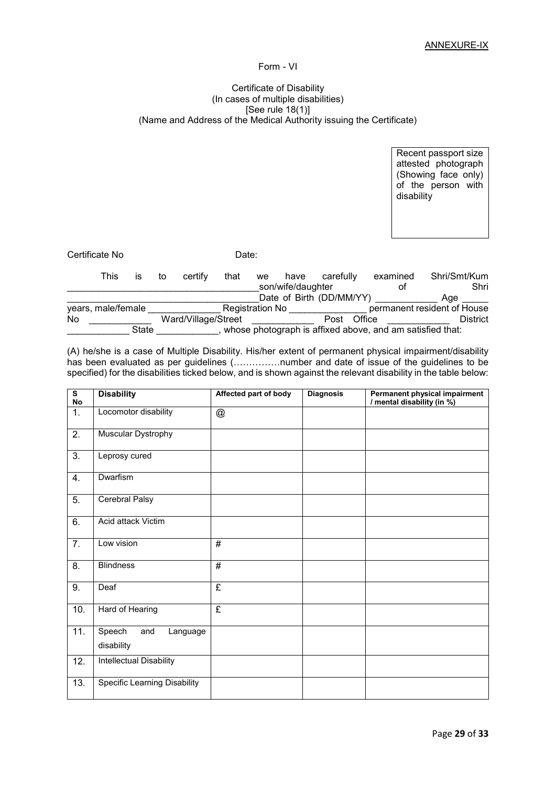#### Form - VI

#### Certificate of Disability (In cases of multiple disabilities) [See rule 18(1)] (Name and Address of the Medical Authority issuing the Certificate)

Recent passport size attested photograph (Showing face only) of the person with disability

Certificate No **Date:** 

|    | This               | IS    | to | certify             | that | we                     | have              | carefully                | examined | Shri/Smt/Kum                                              |
|----|--------------------|-------|----|---------------------|------|------------------------|-------------------|--------------------------|----------|-----------------------------------------------------------|
|    |                    |       |    |                     |      |                        | son/wife/daughter |                          | οt       | Shri                                                      |
|    |                    |       |    |                     |      |                        |                   | Date of Birth (DD/MM/YY) |          | Age                                                       |
|    | years, male/female |       |    |                     |      | <b>Registration No</b> |                   |                          |          | permanent resident of House                               |
| No |                    |       |    | Ward/Village/Street |      |                        |                   | Post                     | Office   | <b>District</b>                                           |
|    |                    | State |    |                     |      |                        |                   |                          |          | whose photograph is affixed above, and am satisfied that: |

(A) he/she is a case of Multiple Disability. His/her extent of permanent physical impairment/disability has been evaluated as per guidelines (……………number and date of issue of the guidelines to be specified) for the disabilities ticked below, and is shown against the relevant disability in the table below:

| $\overline{\mathbf{s}}$<br>No | <b>Disability</b>                       | Affected part of body     | <b>Diagnosis</b> | Permanent physical impairment<br>/ mental disability (in %) |
|-------------------------------|-----------------------------------------|---------------------------|------------------|-------------------------------------------------------------|
| 1.                            | Locomotor disability                    | $^\text{\textregistered}$ |                  |                                                             |
| $\overline{2}$ .              | Muscular Dystrophy                      |                           |                  |                                                             |
| 3.                            | Leprosy cured                           |                           |                  |                                                             |
| 4.                            | Dwarfism                                |                           |                  |                                                             |
| $\overline{5}$ .              | <b>Cerebral Palsy</b>                   |                           |                  |                                                             |
| 6.                            | Acid attack Victim                      |                           |                  |                                                             |
| $\overline{7}$ .              | Low vision                              | $\overline{\#}$           |                  |                                                             |
| 8.                            | <b>Blindness</b>                        | #                         |                  |                                                             |
| 9.                            | Deaf                                    | £                         |                  |                                                             |
| 10.                           | Hard of Hearing                         | $\overline{f}$            |                  |                                                             |
| 11.                           | Speech<br>and<br>Language<br>disability |                           |                  |                                                             |
| 12.                           | Intellectual Disability                 |                           |                  |                                                             |
| 13.                           | <b>Specific Learning Disability</b>     |                           |                  |                                                             |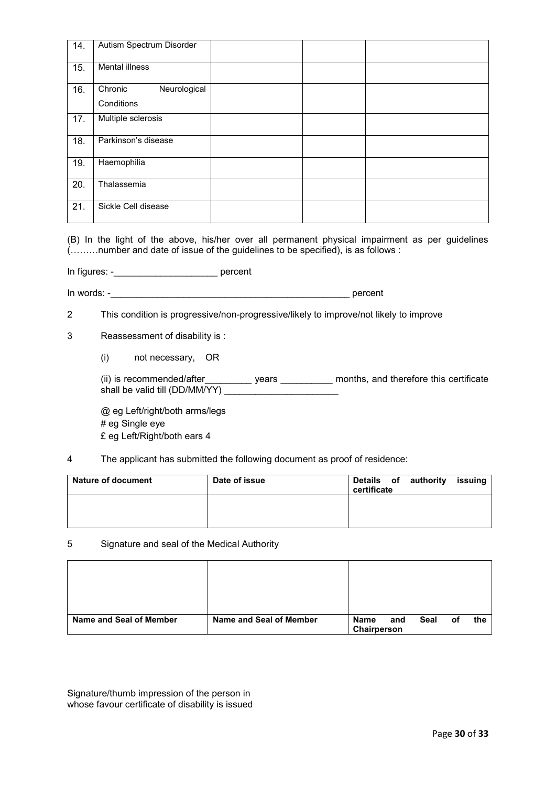| 14. | Autism Spectrum Disorder |  |  |
|-----|--------------------------|--|--|
| 15. | <b>Mental illness</b>    |  |  |
| 16. | Neurological<br>Chronic  |  |  |
|     | Conditions               |  |  |
| 17. | Multiple sclerosis       |  |  |
| 18. | Parkinson's disease      |  |  |
| 19. | Haemophilia              |  |  |
| 20. | Thalassemia              |  |  |
| 21. | Sickle Cell disease      |  |  |

(B) In the light of the above, his/her over all permanent physical impairment as per guidelines (………number and date of issue of the guidelines to be specified), is as follows :

In figures: -\_\_\_\_\_\_\_\_\_\_\_\_\_\_\_\_\_\_\_\_ percent

In words: -

2 This condition is progressive/non-progressive/likely to improve/not likely to improve

3 Reassessment of disability is :

(i) not necessary, OR

(ii) is recommended/after\_\_\_\_\_\_\_\_\_ years \_\_\_\_\_\_\_\_\_\_ months, and therefore this certificate shall be valid till (DD/MM/YY) \_\_\_\_\_\_\_\_\_\_\_\_\_\_\_\_\_\_\_\_\_\_\_\_\_

@ eg Left/right/both arms/legs # eg Single eye £ eg Left/Right/both ears 4

4 The applicant has submitted the following document as proof of residence:

| <b>Nature of document</b> | Date of issue | Details of authority<br>certificate | issuing |
|---------------------------|---------------|-------------------------------------|---------|
|                           |               |                                     |         |

5 Signature and seal of the Medical Authority

| Name and Seal of Member | Name and Seal of Member | Name<br>Chairperson | and | Seal | οf | the |
|-------------------------|-------------------------|---------------------|-----|------|----|-----|

Signature/thumb impression of the person in whose favour certificate of disability is issued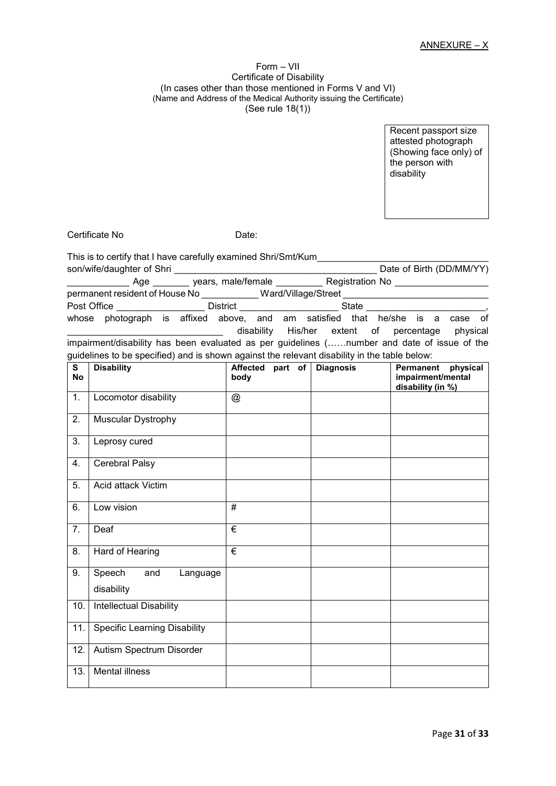#### Form – VII Certificate of Disability (In cases other than those mentioned in Forms V and VI) (Name and Address of the Medical Authority issuing the Certificate) (See rule 18(1))

Recent passport size attested photograph (Showing face only) of the person with disability

Certificate No **Date:** 

This is to certify that I have carefully examined Shri/Smt/Kum son/wife/daughter of Shri **Example 2018** Son/wife/daughter of Shri

\_\_\_\_\_\_\_\_\_\_\_\_ Age \_\_\_\_\_\_\_\_\_ years, male/female \_\_\_\_\_\_\_\_\_\_\_ Registration No \_\_ permanent resident of House No \_\_\_\_\_\_\_\_\_\_\_ Ward/Village/Street \_\_\_\_\_\_\_\_\_\_\_\_\_\_\_\_\_\_\_\_\_\_\_\_\_\_\_\_ Post Office **Example 20 Transformation** District **Example 20 State**  $\overline{S}$ whose photograph is affixed above, and am satisfied that he/she is a case of disability His/her extent of percentage physical impairment/disability has been evaluated as per guidelines (……number and date of issue of the

guidelines to be specified) and is shown against the relevant disability in the table below: **S** Disability **Disability Disable 1 Diagnosis Permanent physical** 

| ີ<br><b>No</b> | <b>DISADIIILY</b>                       | Allected part of<br>body | Diagnosis | Fellilatiellt pilysical<br>impairment/mental<br>disability (in %) |
|----------------|-----------------------------------------|--------------------------|-----------|-------------------------------------------------------------------|
| 1.             | Locomotor disability                    | @                        |           |                                                                   |
| 2.             | Muscular Dystrophy                      |                          |           |                                                                   |
| 3.             | Leprosy cured                           |                          |           |                                                                   |
| 4.             | Cerebral Palsy                          |                          |           |                                                                   |
| 5.             | Acid attack Victim                      |                          |           |                                                                   |
| 6.             | Low vision                              | #                        |           |                                                                   |
| 7.             | Deaf                                    | €                        |           |                                                                   |
| 8.             | Hard of Hearing                         | €                        |           |                                                                   |
| 9.             | Speech<br>and<br>Language<br>disability |                          |           |                                                                   |
| 10.            | Intellectual Disability                 |                          |           |                                                                   |
| 11.            | <b>Specific Learning Disability</b>     |                          |           |                                                                   |
| 12.            | Autism Spectrum Disorder                |                          |           |                                                                   |
| 13.            | <b>Mental illness</b>                   |                          |           |                                                                   |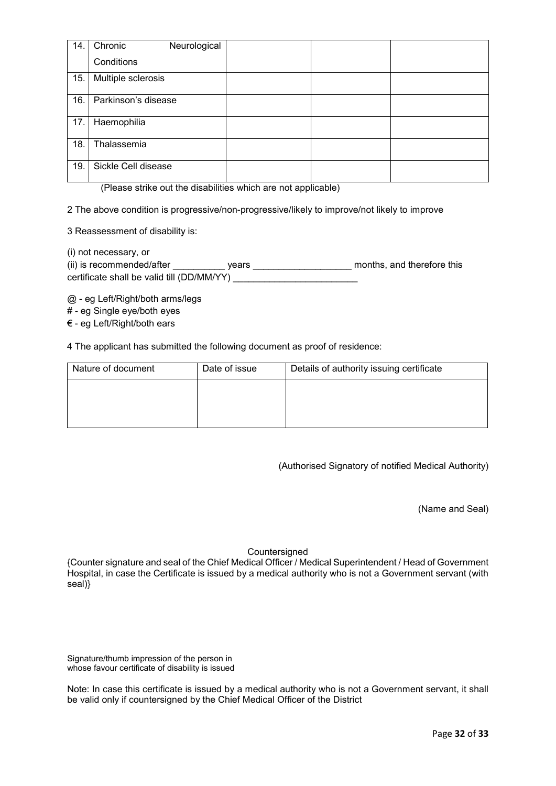| 14. | Chronic<br>Neurological |  |
|-----|-------------------------|--|
|     | Conditions              |  |
| 15. | Multiple sclerosis      |  |
| 16. | Parkinson's disease     |  |
| 17. | Haemophilia             |  |
| 18. | Thalassemia             |  |
| 19. | Sickle Cell disease     |  |

(Please strike out the disabilities which are not applicable)

2 The above condition is progressive/non-progressive/likely to improve/not likely to improve

3 Reassessment of disability is:

(i) not necessary, or (i) is recommended/after \_\_\_\_\_\_\_\_\_\_\_\_ years \_\_\_\_\_\_\_\_\_\_\_\_\_\_\_\_\_\_\_\_\_\_\_\_\_\_\_\_ months, and therefore this certificate shall be valid till (DD/MM/YY) \_\_\_\_\_\_\_\_\_\_\_\_\_\_\_\_\_\_\_\_\_\_\_\_

@ - eg Left/Right/both arms/legs

# - eg Single eye/both eyes

€ - eg Left/Right/both ears

4 The applicant has submitted the following document as proof of residence:

| Nature of document | Date of issue | Details of authority issuing certificate |
|--------------------|---------------|------------------------------------------|
|                    |               |                                          |
|                    |               |                                          |
|                    |               |                                          |

(Authorised Signatory of notified Medical Authority)

(Name and Seal)

**Countersigned** 

{Counter signature and seal of the Chief Medical Officer / Medical Superintendent / Head of Government Hospital, in case the Certificate is issued by a medical authority who is not a Government servant (with seal)}

Signature/thumb impression of the person in whose favour certificate of disability is issued

Note: In case this certificate is issued by a medical authority who is not a Government servant, it shall be valid only if countersigned by the Chief Medical Officer of the District